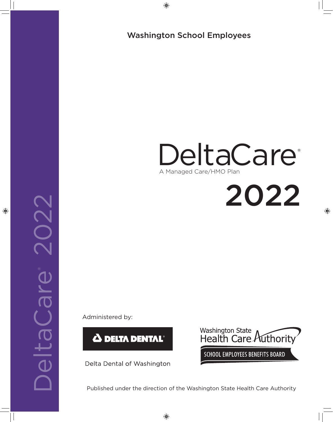◈

## Washington School Employees

# DeltaCare<sup>®</sup> A Managed Care/HMO Plan

2022

⊕

Administered by:

DeltaCare

 $\overline{C}$ 

NC O

® 2022

 $\bigoplus$ 



Delta Dental of Washington



Published under the direction of the Washington State Health Care Authority

◈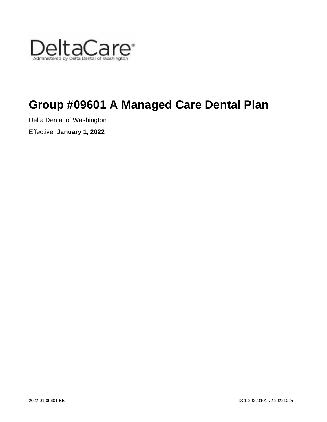

## **Group #09601 A Managed Care Dental Plan**

Delta Dental of Washington

Effective: **January 1, 2022**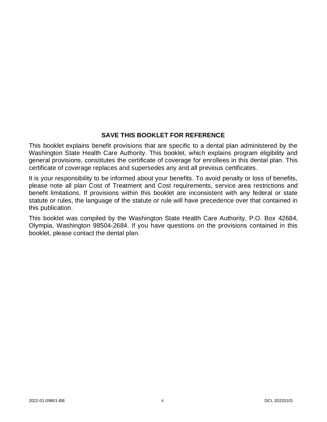## **SAVE THIS BOOKLET FOR REFERENCE**

This booklet explains benefit provisions that are specific to a dental plan administered by the Washington State Health Care Authority. This booklet, which explains program eligibility and general provisions, constitutes the certificate of coverage for enrollees in this dental plan. This certificate of coverage replaces and supersedes any and all previous certificates.

It is your responsibility to be informed about your benefits. To avoid penalty or loss of benefits, please note all plan Cost of Treatment and Cost requirements, service area restrictions and benefit limitations. If provisions within this booklet are inconsistent with any federal or state statute or rules, the language of the statute or rule will have precedence over that contained in this publication.

This booklet was compiled by the Washington State Health Care Authority, P.O. Box 42684, Olympia, Washington 98504-2684. If you have questions on the provisions contained in this booklet, please contact the dental plan.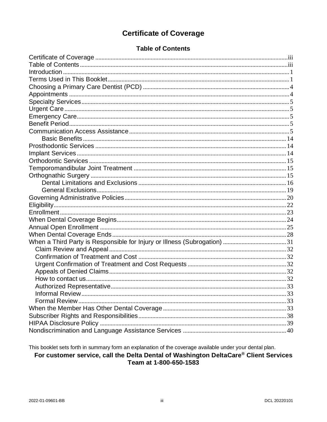## **Certificate of Coverage**

## **Table of Contents**

<span id="page-3-1"></span><span id="page-3-0"></span>

This booklet sets forth in summary form an explanation of the coverage available under your dental plan.

## For customer service, call the Delta Dental of Washington DeltaCare® Client Services Team at 1-800-650-1583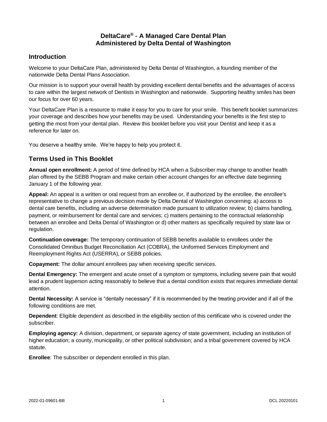## **DeltaCare® - A Managed Care Dental Plan Administered by Delta Dental of Washington**

## <span id="page-4-0"></span>**Introduction**

Welcome to your DeltaCare Plan, administered by Delta Dental of Washington, a founding member of the nationwide Delta Dental Plans Association.

Our mission is to support your overall health by providing excellent dental benefits and the advantages of access to care within the largest network of Dentists in Washington and nationwide. Supporting healthy smiles has been our focus for over 60 years.

Your DeltaCare Plan is a resource to make it easy for you to care for your smile. This benefit booklet summarizes your coverage and describes how your benefits may be used. Understanding your benefits is the first step to getting the most from your dental plan. Review this booklet before you visit your Dentist and keep it as a reference for later on.

<span id="page-4-1"></span>You deserve a healthy smile. We're happy to help you protect it.

## **Terms Used in This Booklet**

**Annual open enrollment:** A period of time defined by HCA when a Subscriber may change to another health plan offered by the SEBB Program and make certain other account changes for an effective date beginning January 1 of the following year.

**Appeal:** An appeal is a written or oral request from an enrollee or, if authorized by the enrollee, the enrollee's representative to change a previous decision made by Delta Dental of Washington concerning: a) access to dental care benefits, including an adverse determination made pursuant to utilization review; b) claims handling, payment, or reimbursement for dental care and services; c) matters pertaining to the contractual relationship between an enrollee and Delta Dental of Washington or d) other matters as specifically required by state law or regulation.

**Continuation coverage:** The temporary continuation of SEBB benefits available to enrollees under the Consolidated Omnibus Budget Reconciliation Act (COBRA), the Uniformed Services Employment and Reemployment Rights Act (USERRA), or SEBB policies.

**Copayment:** The dollar amount enrollees pay when receiving specific services.

**Dental Emergency:** The emergent and acute onset of a symptom or symptoms, including severe pain that would lead a prudent layperson acting reasonably to believe that a dental condition exists that requires immediate dental attention.

**Dental Necessity:** A service is "dentally necessary" if it is recommended by the treating provider and if all of the following conditions are met.

**Dependent**: Eligible dependent as described in the eligibility section of this certificate who is covered under the subscriber.

**Employing agency:** A division, department, or separate agency of state government, including an institution of higher education; a county, municipality, or other political subdivision; and a tribal government covered by HCA statute.

**Enrollee**: The subscriber or dependent enrolled in this plan.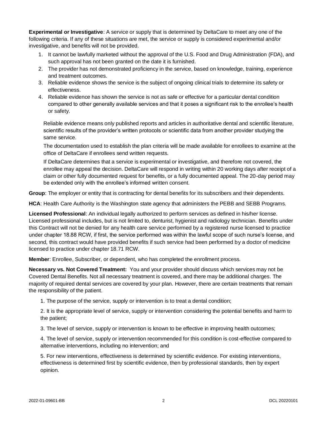**Experimental or Investigative**: A service or supply that is determined by DeltaCare to meet any one of the following criteria. If any of these situations are met, the service or supply is considered experimental and/or investigative, and benefits will not be provided.

- 1. It cannot be lawfully marketed without the approval of the U.S. Food and Drug Administration (FDA), and such approval has not been granted on the date it is furnished.
- 2. The provider has not demonstrated proficiency in the service, based on knowledge, training, experience and treatment outcomes.
- 3. Reliable evidence shows the service is the subject of ongoing clinical trials to determine its safety or effectiveness.
- 4. Reliable evidence has shown the service is not as safe or effective for a particular dental condition compared to other generally available services and that it poses a significant risk to the enrollee's health or safety.

Reliable evidence means only published reports and articles in authoritative dental and scientific literature, scientific results of the provider's written protocols or scientific data from another provider studying the same service.

The documentation used to establish the plan criteria will be made available for enrollees to examine at the office of DeltaCare if enrollees send written requests.

If DeltaCare determines that a service is experimental or investigative, and therefore not covered, the enrollee may appeal the decision. DeltaCare will respond in writing within 20 working days after receipt of a claim or other fully documented request for benefits, or a fully documented appeal. The 20-day period may be extended only with the enrollee's informed written consent.

**Group**: The employer or entity that is contracting for dental benefits for its subscribers and their dependents.

**HCA**: Health Care Authority is the Washington state agency that administers the PEBB and SEBB Programs.

**Licensed Professional**: An individual legally authorized to perform services as defined in his/her license. Licensed professional includes, but is not limited to, denturist, hygienist and radiology technician. Benefits under this Contract will not be denied for any health care service performed by a registered nurse licensed to practice under chapter 18.88 RCW, if first, the service performed was within the lawful scope of such nurse's license, and second, this contract would have provided benefits if such service had been performed by a doctor of medicine licensed to practice under chapter 18.71 RCW.

**Member**: Enrollee, Subscriber, or dependent, who has completed the enrollment process.

**Necessary vs. Not Covered Treatment:** You and your provider should discuss which services may not be Covered Dental Benefits. Not all necessary treatment is covered, and there may be additional charges. The majority of required dental services are covered by your plan. However, there are certain treatments that remain the responsibility of the patient.

1. The purpose of the service, supply or intervention is to treat a dental condition;

2. It is the appropriate level of service, supply or intervention considering the potential benefits and harm to the patient;

3. The level of service, supply or intervention is known to be effective in improving health outcomes;

4. The level of service, supply or intervention recommended for this condition is cost-effective compared to alternative interventions, including no intervention; and

5. For new interventions, effectiveness is determined by scientific evidence. For existing interventions, effectiveness is determined first by scientific evidence, then by professional standards, then by expert opinion.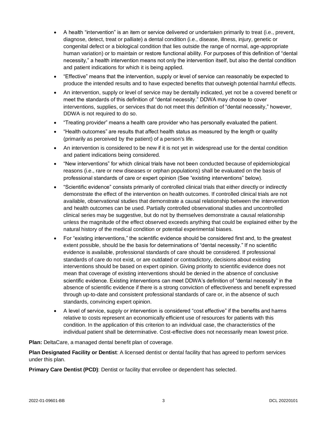- A health "intervention" is an item or service delivered or undertaken primarily to treat (i.e., prevent, diagnose, detect, treat or palliate) a dental condition (i.e., disease, illness, injury, genetic or congenital defect or a biological condition that lies outside the range of normal, age-appropriate human variation) or to maintain or restore functional ability. For purposes of this definition of "dental necessity," a health intervention means not only the intervention itself, but also the dental condition and patient indications for which it is being applied.
- "Effective" means that the intervention, supply or level of service can reasonably be expected to produce the intended results and to have expected benefits that outweigh potential harmful effects.
- An intervention, supply or level of service may be dentally indicated, yet not be a covered benefit or meet the standards of this definition of "dental necessity." DDWA may choose to cover interventions, supplies, or services that do not meet this definition of "dental necessity," however, DDWA is not required to do so.
- "Treating provider" means a health care provider who has personally evaluated the patient.
- "Health outcomes" are results that affect health status as measured by the length or quality (primarily as perceived by the patient) of a person's life.
- An intervention is considered to be new if it is not yet in widespread use for the dental condition and patient indications being considered.
- "New interventions" for which clinical trials have not been conducted because of epidemiological reasons (i.e., rare or new diseases or orphan populations) shall be evaluated on the basis of professional standards of care or expert opinion (See "existing interventions" below).
- "Scientific evidence" consists primarily of controlled clinical trials that either directly or indirectly demonstrate the effect of the intervention on health outcomes. If controlled clinical trials are not available, observational studies that demonstrate a causal relationship between the intervention and health outcomes can be used. Partially controlled observational studies and uncontrolled clinical series may be suggestive, but do not by themselves demonstrate a causal relationship unless the magnitude of the effect observed exceeds anything that could be explained either by the natural history of the medical condition or potential experimental biases.
- For "existing interventions," the scientific evidence should be considered first and, to the greatest extent possible, should be the basis for determinations of "dental necessity." If no scientific evidence is available, professional standards of care should be considered. If professional standards of care do not exist, or are outdated or contradictory, decisions about existing interventions should be based on expert opinion. Giving priority to scientific evidence does not mean that coverage of existing interventions should be denied in the absence of conclusive scientific evidence. Existing interventions can meet DDWA's definition of "dental necessity" in the absence of scientific evidence if there is a strong conviction of effectiveness and benefit expressed through up-to-date and consistent professional standards of care or, in the absence of such standards, convincing expert opinion.
- A level of service, supply or intervention is considered "cost effective" if the benefits and harms relative to costs represent an economically efficient use of resources for patients with this condition. In the application of this criterion to an individual case, the characteristics of the individual patient shall be determinative. Cost-effective does not necessarily mean lowest price.

**Plan:** DeltaCare, a managed dental benefit plan of coverage.

**Plan Designated Facility or Dentist**: A licensed dentist or dental facility that has agreed to perform services under this plan.

**Primary Care Dentist (PCD)**: Dentist or facility that enrollee or dependent has selected.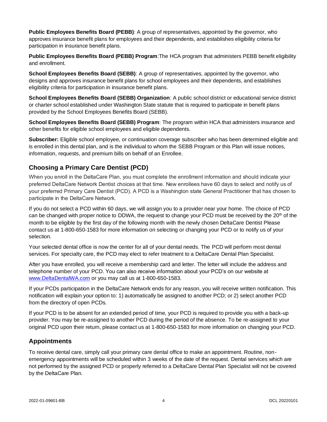**Public Employees Benefits Board (PEBB)**: A group of representatives, appointed by the governor, who approves insurance benefit plans for employees and their dependents, and establishes eligibility criteria for participation in insurance benefit plans.

**Public Employees Benefits Board (PEBB) Program**:The HCA program that administers PEBB benefit eligibility and enrollment.

**School Employees Benefits Board (SEBB)**: A group of representatives, appointed by the governor, who designs and approves insurance benefit plans for school employees and their dependents, and establishes eligibility criteria for participation in insurance benefit plans.

**School Employees Benefits Board (SEBB) Organization**: A public school district or educational service district or charter school established under Washington State statute that is required to participate in benefit plans provided by the School Employees Benefits Board (SEBB).

**School Employees Benefits Board (SEBB) Program**: The program within HCA that administers insurance and other benefits for eligible school employees and eligible dependents.

**Subscriber:** Eligible school employee, or continuation coverage subscriber who has been determined eligible and is enrolled in this dental plan, and is the individual to whom the SEBB Program or this Plan will issue notices, information, requests, and premium bills on behalf of an Enrollee.

## <span id="page-7-0"></span>**Choosing a Primary Care Dentist (PCD)**

When you enroll in the DeltaCare Plan, you must complete the enrollment information and should indicate your preferred DeltaCare Network Dentist choices at that time. New enrollees have 60 days to select and notify us of your preferred Primary Care Dentist (PCD). A PCD is a Washington state General Practitioner that has chosen to participate in the DeltaCare Network.

If you do not select a PCD within 60 days, we will assign you to a provider near your home. The choice of PCD can be changed with proper notice to DDWA, the request to change your PCD must be received by the 20<sup>th</sup> of the month to be eligible by the first day of the following month with the newly chosen DeltaCare Dentist Please contact us at 1-800-650-1583 for more information on selecting or changing your PCD or to notify us of your selection.

Your selected dental office is now the center for all of your dental needs. The PCD will perform most dental services. For specialty care, the PCD may elect to refer treatment to a DeltaCare Dental Plan Specialist.

After you have enrolled, you will receive a membership card and letter. The letter will include the address and telephone number of your PCD. You can also receive information about your PCD's on our website at [www.DeltaDentalWA.com](http://www.deltadentalwa.com/) or you may call us at 1-800-650-1583.

If your PCDs participation in the DeltaCare Network ends for any reason, you will receive written notification. This notification will explain your option to: 1) automatically be assigned to another PCD; or 2) select another PCD from the directory of open PCDs.

If your PCD is to be absent for an extended period of time, your PCD is required to provide you with a back-up provider. You may be re-assigned to another PCD during the period of the absence. To be re-assigned to your original PCD upon their return, please contact us at 1-800-650-1583 for more information on changing your PCD.

## <span id="page-7-1"></span>**Appointments**

To receive dental care, simply call your primary care dental office to make an appointment. Routine, nonemergency appointments will be scheduled within 3 weeks of the date of the request. Dental services which are not performed by the assigned PCD or properly referred to a DeltaCare Dental Plan Specialist will not be covered by the DeltaCare Plan.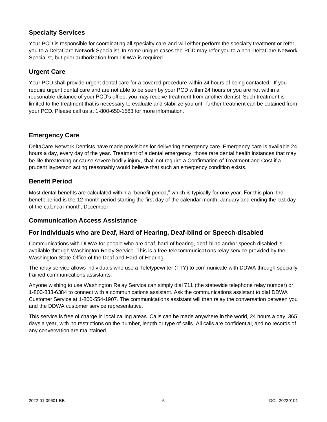## <span id="page-8-0"></span>**Specialty Services**

Your PCD is responsible for coordinating all specialty care and will either perform the specialty treatment or refer you to a DeltaCare Network Specialist. In some unique cases the PCD may refer you to a non-DeltaCare Network Specialist, but prior authorization from DDWA is required.

## <span id="page-8-1"></span>**Urgent Care**

Your PCD shall provide urgent dental care for a covered procedure within 24 hours of being contacted. If you require urgent dental care and are not able to be seen by your PCD within 24 hours or you are not within a reasonable distance of your PCD's office, you may receive treatment from another dentist. Such treatment is limited to the treatment that is necessary to evaluate and stabilize you until further treatment can be obtained from your PCD. Please call us at 1-800-650-1583 for more information.

## <span id="page-8-2"></span>**Emergency Care**

DeltaCare Network Dentists have made provisions for delivering emergency care. Emergency care is available 24 hours a day, every day of the year. Treatment of a dental emergency, those rare dental health instances that may be life threatening or cause severe bodily injury, shall not require a Confirmation of Treatment and Cost if a prudent layperson acting reasonably would believe that such an emergency condition exists.

## <span id="page-8-3"></span>**Benefit Period**

Most dental benefits are calculated within a "benefit period," which is typically for one year. For this plan, the benefit period is the 12-month period starting the first day of the calendar month, January and ending the last day of the calendar month, December.

## <span id="page-8-4"></span>**Communication Access Assistance**

## **For Individuals who are Deaf, Hard of Hearing, Deaf-blind or Speech-disabled**

Communications with DDWA for people who are deaf, hard of hearing, deaf-blind and/or speech disabled is available through Washington Relay Service. This is a free telecommunications relay service provided by the Washington State Office of the Deaf and Hard of Hearing.

The relay service allows individuals who use a Teletypewriter (TTY) to communicate with DDWA through specially trained communications assistants.

Anyone wishing to use Washington Relay Service can simply dial 711 (the statewide telephone relay number) or 1-800-833-6384 to connect with a communications assistant. Ask the communications assistant to dial DDWA Customer Service at 1-800-554-1907. The communications assistant will then relay the conversation between you and the DDWA customer service representative.

This service is free of charge in local calling areas. Calls can be made anywhere in the world, 24 hours a day, 365 days a year, with no restrictions on the number, length or type of calls. All calls are confidential, and no records of any conversation are maintained.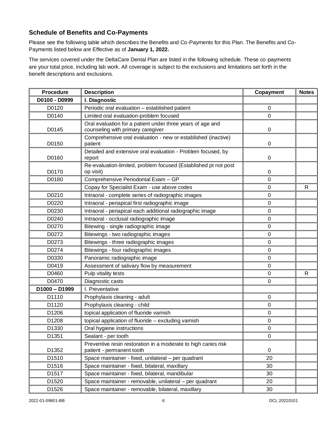## **Schedule of Benefits and Co-Payments**

Please see the following table which describes the Benefits and Co-Payments for this Plan. The Benefits and Co-Payments listed below are Effective as of **January 1, 2022.**

The services covered under the DeltaCare Dental Plan are listed in the following schedule. These co-payments are your total price, including lab work. All coverage is subject to the exclusions and limitations set forth in the benefit descriptions and exclusions.

| <b>Procedure</b> | <b>Description</b><br>Copayment                                                             |             | <b>Notes</b> |  |
|------------------|---------------------------------------------------------------------------------------------|-------------|--------------|--|
| D0100 - D0999    | I. Diagnostic                                                                               |             |              |  |
| D0120            | Periodic oral evaluation - established patient                                              | 0           |              |  |
| D0140            | Limited oral evaluation-problem focused                                                     | $\mathbf 0$ |              |  |
|                  | Oral evaluation for a patient under three years of age and                                  |             |              |  |
| D0145            | counseling with primary caregiver                                                           | 0           |              |  |
| D0150            | Comprehensive oral evaluation - new or established (inactive)<br>patient                    | 0           |              |  |
| D0160            | Detailed and extensive oral evaluation - Problem focused, by<br>report                      | $\mathbf 0$ |              |  |
| D0170            | Re-evaluation-limited, problem focused (Established pt not post<br>op visit)                | $\mathbf 0$ |              |  |
| D0180            | Comprehensive Periodontal Exam - GP                                                         | 0           |              |  |
|                  | Copay for Specialist Exam - use above codes                                                 | 0           | R            |  |
| D0210            | Intraoral - complete series of radiographic images                                          | 0           |              |  |
| D0220            | Intraoral - periapical first radiographic image                                             | $\mathbf 0$ |              |  |
| D0230            | Intraoral - periapical each additional radiographic image                                   | 0           |              |  |
| D0240            | Intraoral - occlusal radiographic image                                                     | 0           |              |  |
| D0270            | Bitewing - single radiographic image                                                        | 0           |              |  |
| D0272            | Bitewings - two radiographic images                                                         |             |              |  |
| D0273            | Bitewings - three radiographic images                                                       | 0           |              |  |
| D0274            | Bitewings - four radiographic images                                                        |             |              |  |
| D0330            | Panoramic radiographic image                                                                |             |              |  |
| D0419            | Assessment of salivary flow by measurement                                                  | 0           |              |  |
| D0460            | Pulp vitality tests                                                                         | $\mathbf 0$ | R            |  |
| D0470            | Diagnostic casts<br>0                                                                       |             |              |  |
| $D1000 - D1999$  | I. Preventative                                                                             |             |              |  |
| D1110            | Prophylaxis cleaning - adult                                                                | 0           |              |  |
| D1120            | Prophylaxis cleaning - child                                                                | $\mathbf 0$ |              |  |
| D1206            | topical application of fluoride varnish                                                     | 0           |              |  |
| D1208            | topical application of fluoride - excluding varnish                                         | 0           |              |  |
| D1330            | Oral hygiene instructions<br>0                                                              |             |              |  |
| D1351            | Sealant - per tooth<br>$\mathbf 0$                                                          |             |              |  |
| D1352            | Preventive resin restoration in a moderate to high caries risk<br>patient - permanent tooth | $\mathbf 0$ |              |  |
| D1510            | Space maintainer - fixed, unilateral - per quadrant<br>20                                   |             |              |  |
| D1516            | Space maintainer - fixed, bilateral, maxillary<br>30                                        |             |              |  |
| D1517            | Space maintainer - fixed, bilateral, mandibular<br>30                                       |             |              |  |
| D1520            | Space maintainer - removable, unilateral - per quadrant                                     | 20          |              |  |
| D1526            | Space maintainer - removable, bilateral, maxillary<br>30                                    |             |              |  |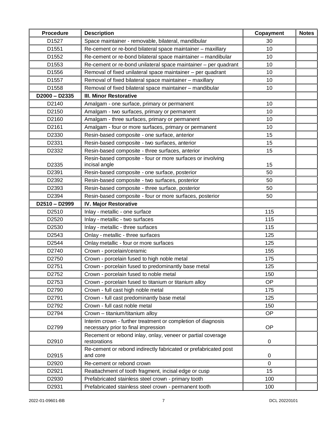| <b>Procedure</b> | <b>Description</b>                                                          | Copayment   | <b>Notes</b> |
|------------------|-----------------------------------------------------------------------------|-------------|--------------|
| D1527            | Space maintainer - removable, bilateral, mandibular                         | 30          |              |
| D1551            | Re-cement or re-bond bilateral space maintainer - maxillary                 | 10          |              |
| D1552            | Re-cement or re-bond bilateral space maintainer - mandibular                | 10          |              |
| D1553            | Re-cement or re-bond unilateral space maintainer – per quadrant             | 10          |              |
| D1556            | Removal of fixed unilateral space maintainer - per quadrant                 | 10          |              |
| D1557            | Removal of fixed bilateral space maintainer - maxillary                     | 10          |              |
| D1558            | Removal of fixed bilateral space maintainer - mandibular                    | 10          |              |
| $D2000 - D2335$  | <b>III. Minor Restorative</b>                                               |             |              |
| D2140            | Amalgam - one surface, primary or permanent                                 | 10          |              |
| D2150            | Amalgam - two surfaces, primary or permanent                                | 10          |              |
| D2160            | Amalgam - three surfaces, primary or permanent                              | 10          |              |
| D2161            | Amalgam - four or more surfaces, primary or permanent                       | 10          |              |
| D2330            | Resin-based composite - one surface, anterior                               | 15          |              |
| D2331            | Resin-based composite - two surfaces, anterior                              | 15          |              |
| D2332            | Resin-based composite - three surfaces, anterior                            | 15          |              |
|                  | Resin-based composite - four or more surfaces or involving                  |             |              |
| D2335            | incisal angle                                                               | 15          |              |
| D2391            | Resin-based composite - one surface, posterior                              | 50          |              |
| D2392            | Resin-based composite - two surfaces, posterior                             | 50          |              |
| D2393            | Resin-based composite - three surface, posterior                            | 50          |              |
| D2394            | Resin-based composite - four or more surfaces, posterior                    | 50          |              |
| D2510-D2999      | <b>IV. Major Restorative</b>                                                |             |              |
| D2510            | Inlay - metallic - one surface                                              | 115         |              |
| D2520            | Inlay - metallic - two surfaces                                             | 115         |              |
| D2530            | Inlay - metallic - three surfaces                                           | 115         |              |
| D2543            | Onlay - metallic - three surfaces                                           | 125         |              |
| D2544            | Onlay metallic - four or more surfaces                                      | 125         |              |
| D2740            | Crown - porcelain/ceramic                                                   | 155         |              |
| D2750            | Crown - porcelain fused to high noble metal                                 | 175         |              |
| D2751            | Crown - porcelain fused to predominantly base metal                         | 125         |              |
| D2752            | Crown - porcelain fused to noble metal                                      | 150         |              |
| D2753            | Crown - porcelain fused to titanium or titanium alloy                       | <b>OP</b>   |              |
| D2790            | Crown - full cast high noble metal                                          | 175         |              |
| D2791            | Crown - full cast predominantly base metal                                  | 125         |              |
| D2792            | Crown - full cast noble metal                                               | 150         |              |
| D2794            | Crown - titanium/titanium alloy                                             | <b>OP</b>   |              |
|                  | Interim crown - further treatment or completion of diagnosis                |             |              |
| D2799            | necessary prior to final impression                                         | <b>OP</b>   |              |
| D2910            | Recement or rebond inlay, onlay, veneer or partial coverage<br>restorations | $\pmb{0}$   |              |
| D2915            | Re-cement or rebond indirectly fabricated or prefabricated post<br>and core | 0           |              |
| D2920            | Re-cement or rebond crown                                                   | $\mathbf 0$ |              |
| D2921            | Reattachment of tooth fragment, incisal edge or cusp                        | 15          |              |
| D2930            | Prefabricated stainless steel crown - primary tooth                         | 100         |              |
| D2931            | Prefabricated stainless steel crown - permanent tooth                       | 100         |              |
|                  |                                                                             |             |              |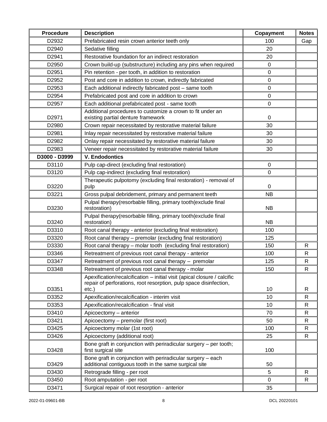| Prefabricated resin crown anterior teeth only<br>100<br>D2932<br>Gap<br>D2940<br>Sedative filling<br>20<br>Restorative foundation for an indirect restoration<br>D2941<br>20<br>D2950<br>Crown build-up (substructure) including any pins when required<br>0<br>D2951<br>Pin retention - per tooth, in addition to restoration<br>0<br>D2952<br>Post and core in addition to crown, indirectly fabricated<br>0<br>D2953<br>Each additional indirectly fabricated post - same tooth<br>0<br>Prefabricated post and core in addition to crown<br>D2954<br>0<br>Each additional prefabricated post - same tooth<br>D2957<br>0<br>Additional procedures to customize a crown to fit under an<br>existing partial denture framework<br>D2971<br>$\pmb{0}$<br>Crown repair necessitated by restorative material failure<br>D2980<br>30<br>Inlay repair necessitated by restorative material failure<br>D2981<br>30<br>D2982<br>Onlay repair necessitated by restorative material failure<br>30<br>D2983<br>Veneer repair necessitated by restorative material failure<br>30<br>D3000 - D3999<br><b>V. Endodontics</b><br>D3110<br>Pulp cap-direct (excluding final restoration)<br>$\pmb{0}$<br>Pulp cap-indirect (excluding final restoration)<br>D3120<br>0<br>Therapeutic pulpotomy (excluding final restoration) - removal of<br>D3220<br>0<br>pulp<br>Gross pulpal debridement, primary and permanent teeth<br>D3221<br><b>NB</b><br>Pulpal therapy(resorbable filling, primary tooth(exclude final<br>D3230<br>restoration)<br><b>NB</b><br>Pulpal therapy(resorbable filling, primary tooth(exclude final<br>restoration)<br><b>NB</b><br>D3240<br>Root canal therapy - anterior (excluding final restoration)<br>D3310<br>100<br>D3320<br>Root canal therapy - premolar (excluding final restoration)<br>125<br>D3330<br>Root canal therapy - molar tooth (excluding final restoration)<br>150<br>R<br>Retreatment of previous root canal therapy - anterior<br>D3346<br>100<br>R<br>D3347<br>Retreatment of previous root canal therapy - premolar<br>125<br>$\mathsf{R}$<br>D3348<br>Retreatment of previous root canal therapy - molar<br>150<br>R<br>Apexification/recalcification - initial visit (apical closure / calcific<br>repair of perforations, root resorption, pulp space disinfection,<br>D3351<br>10<br>R<br>$etc.$ )<br>D3352<br>Apexification/recalcification - interim visit<br>10<br>R<br>Apexification/recalcification - final visit<br>D3353<br>R<br>10<br>D3410<br>70<br>$\mathsf{R}$<br>Apicoectomy - anterior<br>D3421<br>Apicoectomy - premolar (first root)<br>R<br>50<br>Apicoectomy molar (1st root)<br>D3425<br>$\mathsf{R}$<br>100<br>D3426<br>Apicoectomy (additional root)<br>25<br>R<br>Bone graft in conjunction with periradicular surgery – per tooth;<br>D3428<br>first surgical site<br>100<br>Bone graft in conjunction with periradicular surgery - each<br>D3429<br>additional contiguous tooth in the same surgical site<br>50<br>Retrograde filling - per root<br>D3430<br>5<br>R<br>D3450<br>$\mathbf 0$<br>R<br>Root amputation - per root | <b>Procedure</b> | <b>Description</b>                            | Copayment | <b>Notes</b> |
|---------------------------------------------------------------------------------------------------------------------------------------------------------------------------------------------------------------------------------------------------------------------------------------------------------------------------------------------------------------------------------------------------------------------------------------------------------------------------------------------------------------------------------------------------------------------------------------------------------------------------------------------------------------------------------------------------------------------------------------------------------------------------------------------------------------------------------------------------------------------------------------------------------------------------------------------------------------------------------------------------------------------------------------------------------------------------------------------------------------------------------------------------------------------------------------------------------------------------------------------------------------------------------------------------------------------------------------------------------------------------------------------------------------------------------------------------------------------------------------------------------------------------------------------------------------------------------------------------------------------------------------------------------------------------------------------------------------------------------------------------------------------------------------------------------------------------------------------------------------------------------------------------------------------------------------------------------------------------------------------------------------------------------------------------------------------------------------------------------------------------------------------------------------------------------------------------------------------------------------------------------------------------------------------------------------------------------------------------------------------------------------------------------------------------------------------------------------------------------------------------------------------------------------------------------------------------------------------------------------------------------------------------------------------------------------------------------------------------------------------------------------------------------------------------------------------------------------------------------------------------------------------------------------------------------------------------------------------------------------------------------------------------------------------------------------------------------------------|------------------|-----------------------------------------------|-----------|--------------|
|                                                                                                                                                                                                                                                                                                                                                                                                                                                                                                                                                                                                                                                                                                                                                                                                                                                                                                                                                                                                                                                                                                                                                                                                                                                                                                                                                                                                                                                                                                                                                                                                                                                                                                                                                                                                                                                                                                                                                                                                                                                                                                                                                                                                                                                                                                                                                                                                                                                                                                                                                                                                                                                                                                                                                                                                                                                                                                                                                                                                                                                                                             |                  |                                               |           |              |
|                                                                                                                                                                                                                                                                                                                                                                                                                                                                                                                                                                                                                                                                                                                                                                                                                                                                                                                                                                                                                                                                                                                                                                                                                                                                                                                                                                                                                                                                                                                                                                                                                                                                                                                                                                                                                                                                                                                                                                                                                                                                                                                                                                                                                                                                                                                                                                                                                                                                                                                                                                                                                                                                                                                                                                                                                                                                                                                                                                                                                                                                                             |                  |                                               |           |              |
|                                                                                                                                                                                                                                                                                                                                                                                                                                                                                                                                                                                                                                                                                                                                                                                                                                                                                                                                                                                                                                                                                                                                                                                                                                                                                                                                                                                                                                                                                                                                                                                                                                                                                                                                                                                                                                                                                                                                                                                                                                                                                                                                                                                                                                                                                                                                                                                                                                                                                                                                                                                                                                                                                                                                                                                                                                                                                                                                                                                                                                                                                             |                  |                                               |           |              |
|                                                                                                                                                                                                                                                                                                                                                                                                                                                                                                                                                                                                                                                                                                                                                                                                                                                                                                                                                                                                                                                                                                                                                                                                                                                                                                                                                                                                                                                                                                                                                                                                                                                                                                                                                                                                                                                                                                                                                                                                                                                                                                                                                                                                                                                                                                                                                                                                                                                                                                                                                                                                                                                                                                                                                                                                                                                                                                                                                                                                                                                                                             |                  |                                               |           |              |
|                                                                                                                                                                                                                                                                                                                                                                                                                                                                                                                                                                                                                                                                                                                                                                                                                                                                                                                                                                                                                                                                                                                                                                                                                                                                                                                                                                                                                                                                                                                                                                                                                                                                                                                                                                                                                                                                                                                                                                                                                                                                                                                                                                                                                                                                                                                                                                                                                                                                                                                                                                                                                                                                                                                                                                                                                                                                                                                                                                                                                                                                                             |                  |                                               |           |              |
|                                                                                                                                                                                                                                                                                                                                                                                                                                                                                                                                                                                                                                                                                                                                                                                                                                                                                                                                                                                                                                                                                                                                                                                                                                                                                                                                                                                                                                                                                                                                                                                                                                                                                                                                                                                                                                                                                                                                                                                                                                                                                                                                                                                                                                                                                                                                                                                                                                                                                                                                                                                                                                                                                                                                                                                                                                                                                                                                                                                                                                                                                             |                  |                                               |           |              |
|                                                                                                                                                                                                                                                                                                                                                                                                                                                                                                                                                                                                                                                                                                                                                                                                                                                                                                                                                                                                                                                                                                                                                                                                                                                                                                                                                                                                                                                                                                                                                                                                                                                                                                                                                                                                                                                                                                                                                                                                                                                                                                                                                                                                                                                                                                                                                                                                                                                                                                                                                                                                                                                                                                                                                                                                                                                                                                                                                                                                                                                                                             |                  |                                               |           |              |
|                                                                                                                                                                                                                                                                                                                                                                                                                                                                                                                                                                                                                                                                                                                                                                                                                                                                                                                                                                                                                                                                                                                                                                                                                                                                                                                                                                                                                                                                                                                                                                                                                                                                                                                                                                                                                                                                                                                                                                                                                                                                                                                                                                                                                                                                                                                                                                                                                                                                                                                                                                                                                                                                                                                                                                                                                                                                                                                                                                                                                                                                                             |                  |                                               |           |              |
|                                                                                                                                                                                                                                                                                                                                                                                                                                                                                                                                                                                                                                                                                                                                                                                                                                                                                                                                                                                                                                                                                                                                                                                                                                                                                                                                                                                                                                                                                                                                                                                                                                                                                                                                                                                                                                                                                                                                                                                                                                                                                                                                                                                                                                                                                                                                                                                                                                                                                                                                                                                                                                                                                                                                                                                                                                                                                                                                                                                                                                                                                             |                  |                                               |           |              |
|                                                                                                                                                                                                                                                                                                                                                                                                                                                                                                                                                                                                                                                                                                                                                                                                                                                                                                                                                                                                                                                                                                                                                                                                                                                                                                                                                                                                                                                                                                                                                                                                                                                                                                                                                                                                                                                                                                                                                                                                                                                                                                                                                                                                                                                                                                                                                                                                                                                                                                                                                                                                                                                                                                                                                                                                                                                                                                                                                                                                                                                                                             |                  |                                               |           |              |
|                                                                                                                                                                                                                                                                                                                                                                                                                                                                                                                                                                                                                                                                                                                                                                                                                                                                                                                                                                                                                                                                                                                                                                                                                                                                                                                                                                                                                                                                                                                                                                                                                                                                                                                                                                                                                                                                                                                                                                                                                                                                                                                                                                                                                                                                                                                                                                                                                                                                                                                                                                                                                                                                                                                                                                                                                                                                                                                                                                                                                                                                                             |                  |                                               |           |              |
|                                                                                                                                                                                                                                                                                                                                                                                                                                                                                                                                                                                                                                                                                                                                                                                                                                                                                                                                                                                                                                                                                                                                                                                                                                                                                                                                                                                                                                                                                                                                                                                                                                                                                                                                                                                                                                                                                                                                                                                                                                                                                                                                                                                                                                                                                                                                                                                                                                                                                                                                                                                                                                                                                                                                                                                                                                                                                                                                                                                                                                                                                             |                  |                                               |           |              |
|                                                                                                                                                                                                                                                                                                                                                                                                                                                                                                                                                                                                                                                                                                                                                                                                                                                                                                                                                                                                                                                                                                                                                                                                                                                                                                                                                                                                                                                                                                                                                                                                                                                                                                                                                                                                                                                                                                                                                                                                                                                                                                                                                                                                                                                                                                                                                                                                                                                                                                                                                                                                                                                                                                                                                                                                                                                                                                                                                                                                                                                                                             |                  |                                               |           |              |
|                                                                                                                                                                                                                                                                                                                                                                                                                                                                                                                                                                                                                                                                                                                                                                                                                                                                                                                                                                                                                                                                                                                                                                                                                                                                                                                                                                                                                                                                                                                                                                                                                                                                                                                                                                                                                                                                                                                                                                                                                                                                                                                                                                                                                                                                                                                                                                                                                                                                                                                                                                                                                                                                                                                                                                                                                                                                                                                                                                                                                                                                                             |                  |                                               |           |              |
|                                                                                                                                                                                                                                                                                                                                                                                                                                                                                                                                                                                                                                                                                                                                                                                                                                                                                                                                                                                                                                                                                                                                                                                                                                                                                                                                                                                                                                                                                                                                                                                                                                                                                                                                                                                                                                                                                                                                                                                                                                                                                                                                                                                                                                                                                                                                                                                                                                                                                                                                                                                                                                                                                                                                                                                                                                                                                                                                                                                                                                                                                             |                  |                                               |           |              |
|                                                                                                                                                                                                                                                                                                                                                                                                                                                                                                                                                                                                                                                                                                                                                                                                                                                                                                                                                                                                                                                                                                                                                                                                                                                                                                                                                                                                                                                                                                                                                                                                                                                                                                                                                                                                                                                                                                                                                                                                                                                                                                                                                                                                                                                                                                                                                                                                                                                                                                                                                                                                                                                                                                                                                                                                                                                                                                                                                                                                                                                                                             |                  |                                               |           |              |
|                                                                                                                                                                                                                                                                                                                                                                                                                                                                                                                                                                                                                                                                                                                                                                                                                                                                                                                                                                                                                                                                                                                                                                                                                                                                                                                                                                                                                                                                                                                                                                                                                                                                                                                                                                                                                                                                                                                                                                                                                                                                                                                                                                                                                                                                                                                                                                                                                                                                                                                                                                                                                                                                                                                                                                                                                                                                                                                                                                                                                                                                                             |                  |                                               |           |              |
|                                                                                                                                                                                                                                                                                                                                                                                                                                                                                                                                                                                                                                                                                                                                                                                                                                                                                                                                                                                                                                                                                                                                                                                                                                                                                                                                                                                                                                                                                                                                                                                                                                                                                                                                                                                                                                                                                                                                                                                                                                                                                                                                                                                                                                                                                                                                                                                                                                                                                                                                                                                                                                                                                                                                                                                                                                                                                                                                                                                                                                                                                             |                  |                                               |           |              |
|                                                                                                                                                                                                                                                                                                                                                                                                                                                                                                                                                                                                                                                                                                                                                                                                                                                                                                                                                                                                                                                                                                                                                                                                                                                                                                                                                                                                                                                                                                                                                                                                                                                                                                                                                                                                                                                                                                                                                                                                                                                                                                                                                                                                                                                                                                                                                                                                                                                                                                                                                                                                                                                                                                                                                                                                                                                                                                                                                                                                                                                                                             |                  |                                               |           |              |
|                                                                                                                                                                                                                                                                                                                                                                                                                                                                                                                                                                                                                                                                                                                                                                                                                                                                                                                                                                                                                                                                                                                                                                                                                                                                                                                                                                                                                                                                                                                                                                                                                                                                                                                                                                                                                                                                                                                                                                                                                                                                                                                                                                                                                                                                                                                                                                                                                                                                                                                                                                                                                                                                                                                                                                                                                                                                                                                                                                                                                                                                                             |                  |                                               |           |              |
|                                                                                                                                                                                                                                                                                                                                                                                                                                                                                                                                                                                                                                                                                                                                                                                                                                                                                                                                                                                                                                                                                                                                                                                                                                                                                                                                                                                                                                                                                                                                                                                                                                                                                                                                                                                                                                                                                                                                                                                                                                                                                                                                                                                                                                                                                                                                                                                                                                                                                                                                                                                                                                                                                                                                                                                                                                                                                                                                                                                                                                                                                             |                  |                                               |           |              |
|                                                                                                                                                                                                                                                                                                                                                                                                                                                                                                                                                                                                                                                                                                                                                                                                                                                                                                                                                                                                                                                                                                                                                                                                                                                                                                                                                                                                                                                                                                                                                                                                                                                                                                                                                                                                                                                                                                                                                                                                                                                                                                                                                                                                                                                                                                                                                                                                                                                                                                                                                                                                                                                                                                                                                                                                                                                                                                                                                                                                                                                                                             |                  |                                               |           |              |
|                                                                                                                                                                                                                                                                                                                                                                                                                                                                                                                                                                                                                                                                                                                                                                                                                                                                                                                                                                                                                                                                                                                                                                                                                                                                                                                                                                                                                                                                                                                                                                                                                                                                                                                                                                                                                                                                                                                                                                                                                                                                                                                                                                                                                                                                                                                                                                                                                                                                                                                                                                                                                                                                                                                                                                                                                                                                                                                                                                                                                                                                                             |                  |                                               |           |              |
|                                                                                                                                                                                                                                                                                                                                                                                                                                                                                                                                                                                                                                                                                                                                                                                                                                                                                                                                                                                                                                                                                                                                                                                                                                                                                                                                                                                                                                                                                                                                                                                                                                                                                                                                                                                                                                                                                                                                                                                                                                                                                                                                                                                                                                                                                                                                                                                                                                                                                                                                                                                                                                                                                                                                                                                                                                                                                                                                                                                                                                                                                             |                  |                                               |           |              |
|                                                                                                                                                                                                                                                                                                                                                                                                                                                                                                                                                                                                                                                                                                                                                                                                                                                                                                                                                                                                                                                                                                                                                                                                                                                                                                                                                                                                                                                                                                                                                                                                                                                                                                                                                                                                                                                                                                                                                                                                                                                                                                                                                                                                                                                                                                                                                                                                                                                                                                                                                                                                                                                                                                                                                                                                                                                                                                                                                                                                                                                                                             |                  |                                               |           |              |
|                                                                                                                                                                                                                                                                                                                                                                                                                                                                                                                                                                                                                                                                                                                                                                                                                                                                                                                                                                                                                                                                                                                                                                                                                                                                                                                                                                                                                                                                                                                                                                                                                                                                                                                                                                                                                                                                                                                                                                                                                                                                                                                                                                                                                                                                                                                                                                                                                                                                                                                                                                                                                                                                                                                                                                                                                                                                                                                                                                                                                                                                                             |                  |                                               |           |              |
|                                                                                                                                                                                                                                                                                                                                                                                                                                                                                                                                                                                                                                                                                                                                                                                                                                                                                                                                                                                                                                                                                                                                                                                                                                                                                                                                                                                                                                                                                                                                                                                                                                                                                                                                                                                                                                                                                                                                                                                                                                                                                                                                                                                                                                                                                                                                                                                                                                                                                                                                                                                                                                                                                                                                                                                                                                                                                                                                                                                                                                                                                             |                  |                                               |           |              |
|                                                                                                                                                                                                                                                                                                                                                                                                                                                                                                                                                                                                                                                                                                                                                                                                                                                                                                                                                                                                                                                                                                                                                                                                                                                                                                                                                                                                                                                                                                                                                                                                                                                                                                                                                                                                                                                                                                                                                                                                                                                                                                                                                                                                                                                                                                                                                                                                                                                                                                                                                                                                                                                                                                                                                                                                                                                                                                                                                                                                                                                                                             |                  |                                               |           |              |
|                                                                                                                                                                                                                                                                                                                                                                                                                                                                                                                                                                                                                                                                                                                                                                                                                                                                                                                                                                                                                                                                                                                                                                                                                                                                                                                                                                                                                                                                                                                                                                                                                                                                                                                                                                                                                                                                                                                                                                                                                                                                                                                                                                                                                                                                                                                                                                                                                                                                                                                                                                                                                                                                                                                                                                                                                                                                                                                                                                                                                                                                                             |                  |                                               |           |              |
|                                                                                                                                                                                                                                                                                                                                                                                                                                                                                                                                                                                                                                                                                                                                                                                                                                                                                                                                                                                                                                                                                                                                                                                                                                                                                                                                                                                                                                                                                                                                                                                                                                                                                                                                                                                                                                                                                                                                                                                                                                                                                                                                                                                                                                                                                                                                                                                                                                                                                                                                                                                                                                                                                                                                                                                                                                                                                                                                                                                                                                                                                             |                  |                                               |           |              |
|                                                                                                                                                                                                                                                                                                                                                                                                                                                                                                                                                                                                                                                                                                                                                                                                                                                                                                                                                                                                                                                                                                                                                                                                                                                                                                                                                                                                                                                                                                                                                                                                                                                                                                                                                                                                                                                                                                                                                                                                                                                                                                                                                                                                                                                                                                                                                                                                                                                                                                                                                                                                                                                                                                                                                                                                                                                                                                                                                                                                                                                                                             |                  |                                               |           |              |
|                                                                                                                                                                                                                                                                                                                                                                                                                                                                                                                                                                                                                                                                                                                                                                                                                                                                                                                                                                                                                                                                                                                                                                                                                                                                                                                                                                                                                                                                                                                                                                                                                                                                                                                                                                                                                                                                                                                                                                                                                                                                                                                                                                                                                                                                                                                                                                                                                                                                                                                                                                                                                                                                                                                                                                                                                                                                                                                                                                                                                                                                                             |                  |                                               |           |              |
|                                                                                                                                                                                                                                                                                                                                                                                                                                                                                                                                                                                                                                                                                                                                                                                                                                                                                                                                                                                                                                                                                                                                                                                                                                                                                                                                                                                                                                                                                                                                                                                                                                                                                                                                                                                                                                                                                                                                                                                                                                                                                                                                                                                                                                                                                                                                                                                                                                                                                                                                                                                                                                                                                                                                                                                                                                                                                                                                                                                                                                                                                             |                  |                                               |           |              |
|                                                                                                                                                                                                                                                                                                                                                                                                                                                                                                                                                                                                                                                                                                                                                                                                                                                                                                                                                                                                                                                                                                                                                                                                                                                                                                                                                                                                                                                                                                                                                                                                                                                                                                                                                                                                                                                                                                                                                                                                                                                                                                                                                                                                                                                                                                                                                                                                                                                                                                                                                                                                                                                                                                                                                                                                                                                                                                                                                                                                                                                                                             |                  |                                               |           |              |
|                                                                                                                                                                                                                                                                                                                                                                                                                                                                                                                                                                                                                                                                                                                                                                                                                                                                                                                                                                                                                                                                                                                                                                                                                                                                                                                                                                                                                                                                                                                                                                                                                                                                                                                                                                                                                                                                                                                                                                                                                                                                                                                                                                                                                                                                                                                                                                                                                                                                                                                                                                                                                                                                                                                                                                                                                                                                                                                                                                                                                                                                                             |                  |                                               |           |              |
|                                                                                                                                                                                                                                                                                                                                                                                                                                                                                                                                                                                                                                                                                                                                                                                                                                                                                                                                                                                                                                                                                                                                                                                                                                                                                                                                                                                                                                                                                                                                                                                                                                                                                                                                                                                                                                                                                                                                                                                                                                                                                                                                                                                                                                                                                                                                                                                                                                                                                                                                                                                                                                                                                                                                                                                                                                                                                                                                                                                                                                                                                             |                  |                                               |           |              |
|                                                                                                                                                                                                                                                                                                                                                                                                                                                                                                                                                                                                                                                                                                                                                                                                                                                                                                                                                                                                                                                                                                                                                                                                                                                                                                                                                                                                                                                                                                                                                                                                                                                                                                                                                                                                                                                                                                                                                                                                                                                                                                                                                                                                                                                                                                                                                                                                                                                                                                                                                                                                                                                                                                                                                                                                                                                                                                                                                                                                                                                                                             |                  |                                               |           |              |
|                                                                                                                                                                                                                                                                                                                                                                                                                                                                                                                                                                                                                                                                                                                                                                                                                                                                                                                                                                                                                                                                                                                                                                                                                                                                                                                                                                                                                                                                                                                                                                                                                                                                                                                                                                                                                                                                                                                                                                                                                                                                                                                                                                                                                                                                                                                                                                                                                                                                                                                                                                                                                                                                                                                                                                                                                                                                                                                                                                                                                                                                                             |                  |                                               |           |              |
|                                                                                                                                                                                                                                                                                                                                                                                                                                                                                                                                                                                                                                                                                                                                                                                                                                                                                                                                                                                                                                                                                                                                                                                                                                                                                                                                                                                                                                                                                                                                                                                                                                                                                                                                                                                                                                                                                                                                                                                                                                                                                                                                                                                                                                                                                                                                                                                                                                                                                                                                                                                                                                                                                                                                                                                                                                                                                                                                                                                                                                                                                             |                  |                                               |           |              |
|                                                                                                                                                                                                                                                                                                                                                                                                                                                                                                                                                                                                                                                                                                                                                                                                                                                                                                                                                                                                                                                                                                                                                                                                                                                                                                                                                                                                                                                                                                                                                                                                                                                                                                                                                                                                                                                                                                                                                                                                                                                                                                                                                                                                                                                                                                                                                                                                                                                                                                                                                                                                                                                                                                                                                                                                                                                                                                                                                                                                                                                                                             | D3471            | Surgical repair of root resorption - anterior | 35        |              |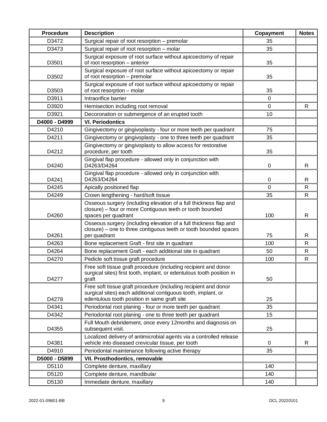| <b>Procedure</b> | <b>Description</b>                                                                                                         | Copayment | <b>Notes</b> |
|------------------|----------------------------------------------------------------------------------------------------------------------------|-----------|--------------|
| D3472            | Surgical repair of root resorption - premolar                                                                              | 35        |              |
| D3473            | Surgical repair of root resorption - molar<br>35                                                                           |           |              |
|                  | Surgical exposure of root surface without apicoectomy of repair                                                            |           |              |
| D3501            | of root resorption - anterior                                                                                              | 35        |              |
|                  | Surgical exposure of root surface without apicoectomy or repair                                                            |           |              |
| D3502            | of root resorption - premolar                                                                                              | 35        |              |
| D3503            | Surgical exposure of root surface without apicoectomy or repair<br>of root resorption - molar                              | 35        |              |
| D3911            | Intraorifice barrier                                                                                                       | 0         |              |
| D3920            | Hemisection including root removal                                                                                         | 0         | R            |
| D3921            | Decoronation or submergence of an erupted tooth                                                                            | 10        |              |
| D4000 - D4999    | <b>VI. Periodontics</b>                                                                                                    |           |              |
| D4210            | Gingivectomy or gingivoplasty - four or more teeth per quadrant                                                            | 75        |              |
| D4211            | Gingivectomy or gingivoplasty - one to three teeth per quadrant                                                            | 35        |              |
|                  | Gingivectomy or gingivoplasty to allow access for restorative                                                              |           |              |
| D4212            | procedure; per tooth                                                                                                       | 35        |              |
|                  | Gingival flap procedure - allowed only in conjunction with                                                                 |           |              |
| D4240            | D4263/D4264                                                                                                                | 0         | $\mathsf{R}$ |
| D4241            | Gingival flap procedure - allowed only in conjunction with<br>D4263/D4264                                                  | 0         | R            |
| D4245            | Apically positioned flap                                                                                                   | 0         | $\mathsf{R}$ |
| D4249            | Crown lengthening - hard/soft tissue                                                                                       | 35        | R            |
|                  | Osseous surgery (including elevation of a full thickness flap and                                                          |           |              |
|                  | closure) - four or more Contiguous teeth or tooth bounded                                                                  |           |              |
| D4260            | spaces per quadrant                                                                                                        | 100       | $\mathsf{R}$ |
|                  | Osseous surgery (including elevation of a full thickness flap and                                                          |           |              |
| D4261            | closure) – one to three contiguous teeth or tooth bounded spaces<br>per quadrant                                           | 75        | R            |
| D4263            | Bone replacement Graft - first site in quadrant                                                                            | 100       | R            |
| D4264            | Bone replacement Graft - each additional site in quadrant                                                                  | 50        | R            |
| D4270            | Pedicle soft tissue graft procedure                                                                                        | 100       | $\mathsf{R}$ |
|                  | Free soft tissue graft procedure (including recipient and donor                                                            |           |              |
|                  | surgical sites) first tooth, implant, or edentulous tooth position in                                                      |           |              |
| D4277            | graft                                                                                                                      | 50        |              |
|                  | Free soft tissue graft procedure (including recipient and donor                                                            |           |              |
| D4278            | surgical sites) each additional contiguous tooth, implant, or<br>edentulous tooth position in same graft site              | 25        |              |
| D4341            | Periodontal root planing - four or more teeth per quadrant                                                                 | 35        |              |
| D4342            |                                                                                                                            | 15        |              |
|                  | Periodontal root planing - one to three teeth per quadrant<br>Full Mouth debridement, once every 12months and diagnosis on |           |              |
| D4355            | subsequent visit.                                                                                                          | 25        |              |
|                  | Localized delivery of antimicrobial agents via a controlled release                                                        |           |              |
| D4381            | vehicle into diseased crevicular tissue, per tooth                                                                         | 0         | R            |
| D4910            | Periodontal maintenance following active therapy                                                                           | 35        |              |
| D5000 - D5899    | VII. Prosthodontics, removable                                                                                             |           |              |
| D5110            | Complete denture, maxillary                                                                                                | 140       |              |
| D5120            | Complete denture, mandibular                                                                                               | 140       |              |
| D5130            | Immediate denture, maxillary                                                                                               | 140       |              |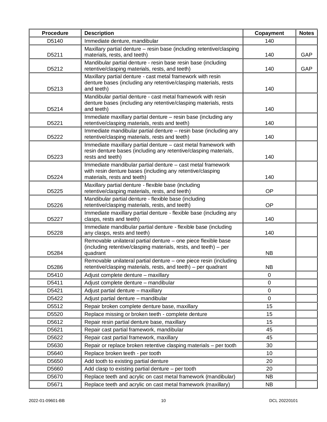| <b>Procedure</b>                                                                                                 | <b>Description</b><br>Copayment                                                                                                                          |             | <b>Notes</b> |
|------------------------------------------------------------------------------------------------------------------|----------------------------------------------------------------------------------------------------------------------------------------------------------|-------------|--------------|
| D5140                                                                                                            | Immediate denture, mandibular                                                                                                                            | 140         |              |
| D5211                                                                                                            | Maxillary partial denture - resin base (including retentive/clasping<br>materials, rests, and teeth)                                                     |             | GAP          |
| D5212                                                                                                            | Mandibular partial denture - resin base resin base (including<br>retentive/clasping materials, rests, and teeth)                                         | 140         | GAP          |
| D5213                                                                                                            | Maxillary partial denture - cast metal framework with resin<br>denture bases (including any retentive/clasping materials, rests<br>and teeth)            | 140         |              |
| D5214                                                                                                            | Mandibular partial denture - cast metal framework with resin<br>denture bases (including any retentive/clasping materials, rests<br>and teeth)           | 140         |              |
| D5221                                                                                                            | Immediate maxillary partial denture - resin base (including any<br>retentive/clasping materials, rests and teeth)                                        | 140         |              |
| D5222                                                                                                            | Immediate mandibular partial denture - resin base (including any<br>retentive/clasping materials, rests and teeth)                                       | 140         |              |
| D5223                                                                                                            | Immediate maxillary partial denture - cast metal framework with<br>resin denture bases (including any retentive/clasping materials,<br>rests and teeth)  | 140         |              |
| D5224                                                                                                            | Immediate mandibular partial denture - cast metal framework<br>with resin denture bases (including any retentive/clasping<br>materials, rests and teeth) | 140         |              |
| Maxillary partial denture - flexible base (including<br>D5225<br>retentive/clasping materials, rests, and teeth) |                                                                                                                                                          | OP          |              |
| D5226                                                                                                            | Mandibular partial denture - flexible base (including<br>retentive/clasping materials, rests, and teeth)                                                 | OP          |              |
| D5227                                                                                                            | Immediate maxillary partial denture - flexible base (including any<br>clasps, rests and teeth)                                                           | 140         |              |
| D5228                                                                                                            | Immediate mandibular partial denture - flexible base (including<br>any clasps, rests and teeth)                                                          | 140         |              |
| D5284                                                                                                            | Removable unilateral partial denture - one piece flexible base<br>(including retentive/clasping materials, rests, and teeth) - per<br>quadrant           | <b>NB</b>   |              |
| D5286                                                                                                            | Removable unilateral partial denture - one piece resin (including<br>retentive/clasping materials, rests, and teeth) - per quadrant                      | <b>NB</b>   |              |
| D5410                                                                                                            | Adjust complete denture - maxillary                                                                                                                      | 0           |              |
| D5411                                                                                                            | Adjust complete denture - mandibular                                                                                                                     | $\mathbf 0$ |              |
| D5421                                                                                                            | Adjust partial denture - maxillary                                                                                                                       | $\pmb{0}$   |              |
| Adjust partial denture - mandibular<br>D5422                                                                     |                                                                                                                                                          | $\mathbf 0$ |              |
| Repair broken complete denture base, maxillary<br>D5512                                                          |                                                                                                                                                          | 15          |              |
| D5520                                                                                                            | Replace missing or broken teeth - complete denture<br>15                                                                                                 |             |              |
| D5612                                                                                                            | Repair resin partial denture base, maxillary<br>15                                                                                                       |             |              |
| Repair cast partial framework, mandibular<br>D5621<br>45                                                         |                                                                                                                                                          |             |              |
| D5622                                                                                                            | Repair cast partial framework, maxillary                                                                                                                 | 45          |              |
| D5630                                                                                                            | Repair or replace broken retentive clasping materials - per tooth                                                                                        | 30          |              |
| D5640                                                                                                            | Replace broken teeth - per tooth                                                                                                                         | 10          |              |
| D5650                                                                                                            | Add tooth to existing partial denture                                                                                                                    | 20          |              |
| D5660                                                                                                            | Add clasp to existing partial denture - per tooth                                                                                                        | 20          |              |
| D5670                                                                                                            | Replace teeth and acrylic on cast metal framework (mandibular)                                                                                           | <b>NB</b>   |              |
| D5671                                                                                                            | Replace teeth and acrylic on cast metal framework (maxillary)<br><b>NB</b>                                                                               |             |              |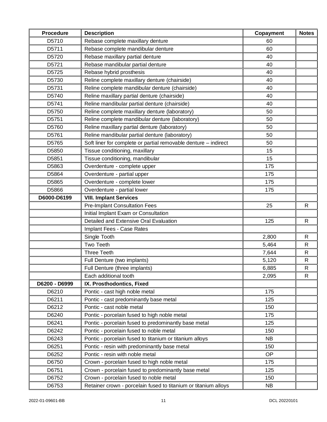| <b>Procedure</b> | <b>Description</b>                                                    | Copayment | <b>Notes</b> |
|------------------|-----------------------------------------------------------------------|-----------|--------------|
| D5710            | Rebase complete maxillary denture                                     | 60        |              |
| D5711            | Rebase complete mandibular denture                                    | 60        |              |
| D5720            | Rebase maxillary partial denture                                      | 40        |              |
| D5721            | Rebase mandibular partial denture                                     | 40        |              |
| D5725            | Rebase hybrid prosthesis                                              | 40        |              |
| D5730            | Reline complete maxillary denture (chairside)                         | 40        |              |
| D5731            | Reline complete mandibular denture (chairside)                        | 40        |              |
| D5740            | Reline maxillary partial denture (chairside)                          | 40        |              |
| D5741            | Reline mandibular partial denture (chairside)                         | 40        |              |
| D5750            | Reline complete maxillary denture (laboratory)                        | 50        |              |
| D5751            | Reline complete mandibular denture (laboratory)                       | 50        |              |
| D5760            | Reline maxillary partial denture (laboratory)                         | 50        |              |
| D5761            | Reline mandibular partial denture (laboratory)                        | 50        |              |
| D5765            | Soft liner for complete or partial removable denture - indirect       | 50        |              |
| D5850            | Tissue conditioning, maxillary                                        | 15        |              |
| D5851            | Tissue conditioning, mandibular                                       | 15        |              |
| D5863            | Overdenture - complete upper                                          | 175       |              |
| D5864            | Overdenture - partial upper                                           | 175       |              |
| D5865            | Overdenture - complete lower                                          | 175       |              |
| D5866            | Overdenture - partial lower                                           | 175       |              |
| D6000-D6199      | <b>VIII. Implant Services</b>                                         |           |              |
|                  | <b>Pre-Implant Consultation Fees</b>                                  | 25        | R            |
|                  | Initial Implant Exam or Consultation                                  |           |              |
|                  | Detailed and Extensive Oral Evaluation                                | 125       | $\mathsf{R}$ |
|                  | Implant Fees - Case Rates                                             |           |              |
|                  | Single Tooth<br>2,800                                                 |           | R            |
|                  | Two Teeth                                                             | 5,464     |              |
|                  | <b>Three Teeth</b>                                                    | 7,644     | $\mathsf{R}$ |
|                  | Full Denture (two implants)                                           | 5,120     | $\mathsf{R}$ |
|                  | Full Denture (three implants)                                         | 6,885     | ${\sf R}$    |
|                  | Each additional tooth                                                 | 2,095     | R            |
| D6200 - D6999    | IX. Prosthodontics, Fixed                                             |           |              |
| D6210            | Pontic - cast high noble metal                                        | 175       |              |
| D6211            | Pontic - cast predominantly base metal                                | 125       |              |
| D6212            | Pontic - cast noble metal                                             | 150       |              |
| D6240            | Pontic - porcelain fused to high noble metal                          | 175       |              |
| D6241            | Pontic - porcelain fused to predominantly base metal                  | 125       |              |
| D6242            | Pontic - porcelain fused to noble metal                               | 150       |              |
| D6243            | Pontic - porcelain fused to titanium or titanium alloys               | <b>NB</b> |              |
| D6251            | Pontic - resin with predominantly base metal                          | 150       |              |
| D6252            | Pontic - resin with noble metal                                       | <b>OP</b> |              |
| D6750            | Crown - porcelain fused to high noble metal                           | 175       |              |
| D6751            | Crown - porcelain fused to predominantly base metal                   | 125       |              |
| D6752            | Crown - porcelain fused to noble metal                                | 150       |              |
| D6753            | Retainer crown - porcelain fused to titanium or titanium alloys<br>NB |           |              |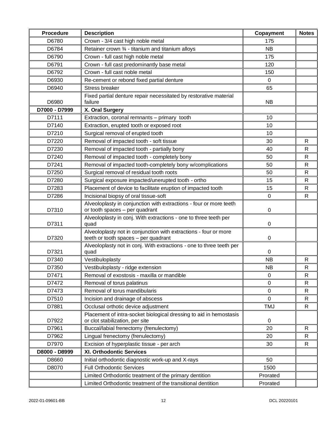| <b>Procedure</b> | <b>Description</b>                                                                                       | Copayment   | <b>Notes</b> |
|------------------|----------------------------------------------------------------------------------------------------------|-------------|--------------|
| D6780            | Crown - 3/4 cast high noble metal                                                                        | 175         |              |
| D6784            | Retainer crown 3⁄4 - titanium and titanium alloys                                                        | <b>NB</b>   |              |
| D6790            | Crown - full cast high noble metal                                                                       | 175         |              |
| D6791            | Crown - full cast predominantly base metal                                                               | 120         |              |
| D6792            | Crown - full cast noble metal                                                                            | 150         |              |
| D6930            | Re-cement or rebond fixed partial denture                                                                | 0           |              |
| D6940            | <b>Stress breaker</b>                                                                                    | 65          |              |
| D6980            | Fixed partial denture repair necessitated by restorative material<br>failure                             | <b>NB</b>   |              |
| D7000 - D7999    | X. Oral Surgery                                                                                          |             |              |
| D7111            | Extraction, coronal remnants - primary tooth                                                             | 10          |              |
| D7140            | Extraction, erupted tooth or exposed root                                                                | 10          |              |
| D7210            | Surgical removal of erupted tooth                                                                        | 10          |              |
| D7220            | Removal of impacted tooth - soft tissue                                                                  | 30          | $\mathsf{R}$ |
| D7230            | Removal of impacted tooth - partially bony                                                               | 40          | $\mathsf{R}$ |
| D7240            | Removal of impacted tooth - completely bony                                                              | 50          | $\mathsf{R}$ |
| D7241            | Removal of impacted tooth-completely bony w/complications                                                | 50          | $\mathsf{R}$ |
| D7250            | Surgical removal of residual tooth roots                                                                 | 50          | $\mathsf{R}$ |
| D7280            | Surgical exposure impacted/unerupted tooth - ortho                                                       | 15          | $\mathsf{R}$ |
| D7283            | Placement of device to facilitate eruption of impacted tooth                                             | 15          | $\mathsf{R}$ |
| D7286            | Incisional biopsy of oral tissue-soft                                                                    | $\mathbf 0$ | $\mathsf{R}$ |
| D7310            | Alveoloplasty in conjunction with extractions - four or more teeth<br>or tooth spaces - per quadrant     | 0           |              |
| D7311            | Alveoloplasty in conj. With extractions - one to three teeth per<br>quad                                 | 0           |              |
| D7320            | Alveoloplasty not in conjunction with extractions - four or more<br>teeth or tooth spaces - per quadrant |             |              |
| D7321            | Alveoloplasty not in conj. With extractions - one to three teeth per<br>quad                             | 0           |              |
| D7340            | Vestibuloplasty                                                                                          | <b>NB</b>   | $\mathsf{R}$ |
| D7350            | Vestibuloplasty - ridge extension                                                                        | <b>NB</b>   | $\mathsf{R}$ |
| D7471            | Removal of exostosis - maxilla or mandible                                                               | 0           | $\mathsf{R}$ |
| D7472            | Removal of torus palatinus                                                                               | $\Omega$    | $\mathsf{R}$ |
| D7473            | Removal of torus mandibularis                                                                            | $\pmb{0}$   | R            |
| D7510            | Incision and drainage of abscess                                                                         | $\Omega$    | $\mathsf{R}$ |
| D7881            | Occlusal orthotic device adjustment                                                                      | <b>TMJ</b>  | R            |
| D7922            | Placement of intra-socket biological dressing to aid in hemostasis<br>or clot stabilization, per site    | 0           |              |
| D7961            | Buccal/labial frenectomy (frenulectomy)                                                                  | 20          | $\mathsf{R}$ |
| D7962            | Lingual frenectomy (frenulectomy)                                                                        | 20          | R            |
| D7970            | Excision of hyperplastic tissue - per arch                                                               | 30          | $\mathsf{R}$ |
| D8000 - D8999    | XI. Orthodontic Services                                                                                 |             |              |
| D8660            | Initial orthodontic diagnostic work-up and X-rays                                                        | 50          |              |
| D8070            | <b>Full Orthodontic Services</b>                                                                         | 1500        |              |
|                  | Limited Orthodontic treatment of the primary dentition                                                   | Prorated    |              |
|                  | Limited Orthodontic treatment of the transitional dentition                                              | Prorated    |              |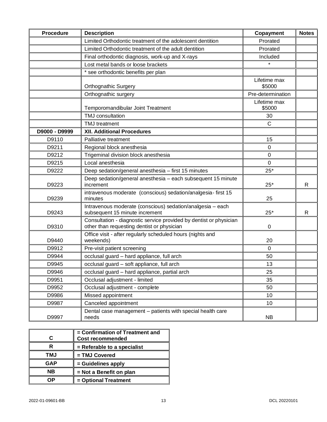| <b>Procedure</b>                   | <b>Description</b>                                                                                               | Copayment              | <b>Notes</b> |
|------------------------------------|------------------------------------------------------------------------------------------------------------------|------------------------|--------------|
|                                    | Limited Orthodontic treatment of the adolescent dentition                                                        | Prorated               |              |
|                                    | Limited Orthodontic treatment of the adult dentition                                                             |                        |              |
|                                    | Final orthodontic diagnosis, work-up and X-rays                                                                  | Included               |              |
| Lost metal bands or loose brackets |                                                                                                                  | $\star$                |              |
|                                    | * see orthodontic benefits per plan                                                                              |                        |              |
|                                    | <b>Orthognathic Surgery</b>                                                                                      | Lifetime max<br>\$5000 |              |
|                                    | Orthognathic surgery                                                                                             | Pre-determination      |              |
|                                    | Temporomandibular Joint Treatment                                                                                | Lifetime max<br>\$5000 |              |
|                                    | TMJ consultation                                                                                                 | 30                     |              |
|                                    | <b>TMJ</b> treatment                                                                                             | C                      |              |
| D9000 - D9999                      | <b>XII. Additional Procedures</b>                                                                                |                        |              |
| D9110                              | Palliative treatment                                                                                             | 15                     |              |
| D9211                              | Regional block anesthesia                                                                                        | 0                      |              |
| D9212                              | Trigeminal division block anesthesia                                                                             | 0                      |              |
| D9215                              | Local anesthesia                                                                                                 | $\Omega$               |              |
| D9222                              | Deep sedation/general anesthesia - first 15 minutes                                                              | $25*$                  |              |
| D9223                              | Deep sedation/general anesthesia - each subsequent 15 minute<br>increment                                        | $25*$                  | $\mathsf{R}$ |
| D9239                              | intravenous moderate (conscious) sedation/analgesia-first 15<br>minutes                                          | 25                     |              |
| D9243                              | Intravenous moderate (conscious) sedation/analgesia - each<br>subsequent 15 minute increment                     | $25*$                  | $\mathsf{R}$ |
| D9310                              | Consultation - diagnostic service provided by dentist or physician<br>other than requesting dentist or physician | $\pmb{0}$              |              |
| D9440                              | Office visit - after regularly scheduled hours (nights and<br>weekends)                                          | 20                     |              |
| D9912                              | Pre-visit patient screening                                                                                      | 0                      |              |
| D9944                              | occlusal guard - hard appliance, full arch                                                                       | 50                     |              |
| D9945                              | occlusal guard - soft appliance, full arch                                                                       | 13                     |              |
| D9946                              | occlusal guard - hard appliance, partial arch                                                                    | 25                     |              |
| D9951                              | Occlusal adjustment - limited                                                                                    | 35                     |              |
| D9952                              | Occlusal adjustment - complete                                                                                   | 50                     |              |
| D9986                              | Missed appointment                                                                                               | 10                     |              |
| D9987                              | Canceled appointment                                                                                             | 10                     |              |
| D9997                              | Dental case management - patients with special health care<br>needs                                              | NB                     |              |

|            | = Confirmation of Treatment and |
|------------|---------------------------------|
| C          | <b>Cost recommended</b>         |
|            | = Referable to a specialist     |
| <b>TMJ</b> | = TMJ Covered                   |
| <b>GAP</b> | = Guidelines apply              |
| <b>NB</b>  | $=$ Not a Benefit on plan       |
|            | = Optional Treatment            |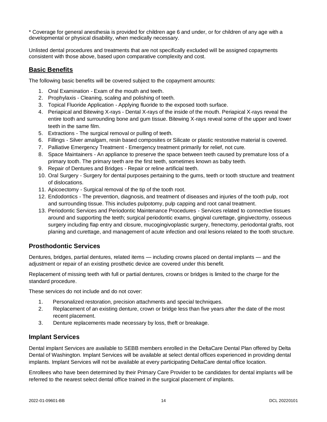\* Coverage for general anesthesia is provided for children age 6 and under, or for children of any age with a developmental or physical disability, when medically necessary.

Unlisted dental procedures and treatments that are not specifically excluded will be assigned copayments consistent with those above, based upon comparative complexity and cost.

## <span id="page-17-0"></span>**Basic Benefits**

The following basic benefits will be covered subject to the copayment amounts:

- 1. Oral Examination Exam of the mouth and teeth.
- 2. Prophylaxis Cleaning, scaling and polishing of teeth.
- 3. Topical Fluoride Application Applying fluoride to the exposed tooth surface.
- 4. Periapical and Bitewing X-rays Dental X-rays of the inside of the mouth. Periapical X-rays reveal the entire tooth and surrounding bone and gum tissue. Bitewing X-rays reveal some of the upper and lower teeth in the same film.
- 5. Extractions The surgical removal or pulling of teeth.
- 6. Fillings Silver amalgam, resin based composites or Silicate or plastic restorative material is covered.
- 7. Palliative Emergency Treatment Emergency treatment primarily for relief, not cure.
- 8. Space Maintainers An appliance to preserve the space between teeth caused by premature loss of a primary tooth. The primary teeth are the first teeth, sometimes known as baby teeth.
- 9. Repair of Dentures and Bridges Repair or reline artificial teeth.
- 10. Oral Surgery Surgery for dental purposes pertaining to the gums, teeth or tooth structure and treatment of dislocations.
- 11. Apicoectomy Surgical removal of the tip of the tooth root.
- 12. Endodontics The prevention, diagnosis, and treatment of diseases and injuries of the tooth pulp, root and surrounding tissue. This includes pulpotomy, pulp capping and root canal treatment.
- 13. Periodontic Services and Periodontic Maintenance Procedures Services related to connective tissues around and supporting the teeth; surgical periodontic exams, gingival curettage, gingivectomy, osseous surgery including flap entry and closure, mucogingivoplastic surgery, frenectomy, periodontal grafts, root planing and curettage, and management of acute infection and oral lesions related to the tooth structure.

#### <span id="page-17-1"></span>**Prosthodontic Services**

Dentures, bridges, partial dentures, related items — including crowns placed on dental implants — and the adjustment or repair of an existing prosthetic device are covered under this benefit.

Replacement of missing teeth with full or partial dentures, crowns or bridges is limited to the charge for the standard procedure.

These services do not include and do not cover:

- 1. Personalized restoration, precision attachments and special techniques.
- 2. Replacement of an existing denture, crown or bridge less than five years after the date of the most recent placement.
- 3. Denture replacements made necessary by loss, theft or breakage.

#### <span id="page-17-2"></span>**Implant Services**

Dental implant Services are available to SEBB members enrolled in the DeltaCare Dental Plan offered by Delta Dental of Washington. Implant Services will be available at select dental offices experienced in providing dental implants. Implant Services will not be available at every participating DeltaCare dental office location.

Enrollees who have been determined by their Primary Care Provider to be candidates for dental implants will be referred to the nearest select dental office trained in the surgical placement of implants.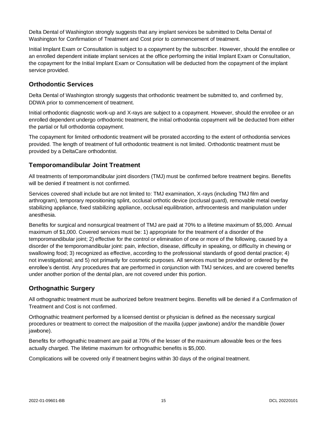Delta Dental of Washington strongly suggests that any implant services be submitted to Delta Dental of Washington for Confirmation of Treatment and Cost prior to commencement of treatment.

Initial Implant Exam or Consultation is subject to a copayment by the subscriber. However, should the enrollee or an enrolled dependent initiate implant services at the office performing the initial Implant Exam or Consultation, the copayment for the Initial Implant Exam or Consultation will be deducted from the copayment of the implant service provided.

## <span id="page-18-0"></span>**Orthodontic Services**

Delta Dental of Washington strongly suggests that orthodontic treatment be submitted to, and confirmed by, DDWA prior to commencement of treatment.

Initial orthodontic diagnostic work-up and X-rays are subject to a copayment. However, should the enrollee or an enrolled dependent undergo orthodontic treatment, the initial orthodontia copayment will be deducted from either the partial or full orthodontia copayment.

The copayment for limited orthodontic treatment will be prorated according to the extent of orthodontia services provided. The length of treatment of full orthodontic treatment is not limited. Orthodontic treatment must be provided by a DeltaCare orthodontist.

## <span id="page-18-1"></span>**Temporomandibular Joint Treatment**

All treatments of temporomandibular joint disorders (TMJ) must be confirmed before treatment begins. Benefits will be denied if treatment is not confirmed.

Services covered shall include but are not limited to: TMJ examination, X-rays (including TMJ film and arthrogram), temporary repositioning splint, occlusal orthotic device (occlusal guard), removable metal overlay stabilizing appliance, fixed stabilizing appliance, occlusal equilibration, arthrocentesis and manipulation under anesthesia.

Benefits for surgical and nonsurgical treatment of TMJ are paid at 70% to a lifetime maximum of \$5,000. Annual maximum of \$1,000. Covered services must be: 1) appropriate for the treatment of a disorder of the temporomandibular joint; 2) effective for the control or elimination of one or more of the following, caused by a disorder of the temporomandibular joint: pain, infection, disease, difficulty in speaking, or difficulty in chewing or swallowing food; 3) recognized as effective, according to the professional standards of good dental practice; 4) not investigational; and 5) not primarily for cosmetic purposes. All services must be provided or ordered by the enrollee's dentist. Any procedures that are performed in conjunction with TMJ services, and are covered benefits under another portion of the dental plan, are not covered under this portion.

## <span id="page-18-2"></span>**Orthognathic Surgery**

All orthognathic treatment must be authorized before treatment begins. Benefits will be denied if a Confirmation of Treatment and Cost is not confirmed.

Orthognathic treatment performed by a licensed dentist or physician is defined as the necessary surgical procedures or treatment to correct the malposition of the maxilla (upper jawbone) and/or the mandible (lower jawbone).

Benefits for orthognathic treatment are paid at 70% of the lesser of the maximum allowable fees or the fees actually charged. The lifetime maximum for orthognathic benefits is \$5,000.

Complications will be covered only if treatment begins within 30 days of the original treatment.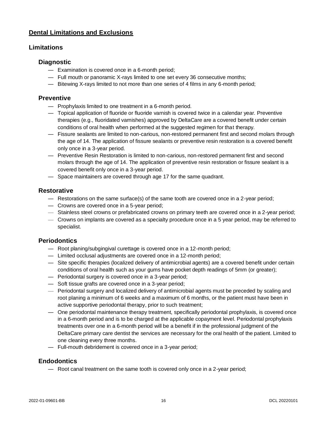## <span id="page-19-0"></span>**Dental Limitations and Exclusions**

## **Limitations**

#### **Diagnostic**

- Examination is covered once in a 6-month period;
- Full mouth or panoramic X-rays limited to one set every 36 consecutive months;
- Bitewing X-rays limited to not more than one series of 4 films in any 6-month period;

#### **Preventive**

- Prophylaxis limited to one treatment in a 6-month period.
- Topical application of fluoride or fluoride varnish is covered twice in a calendar year. Preventive therapies (e.g., fluoridated varnishes) approved by DeltaCare are a covered benefit under certain conditions of oral health when performed at the suggested regimen for that therapy.
- Fissure sealants are limited to non-carious, non-restored permanent first and second molars through the age of 14. The application of fissure sealants or preventive resin restoration is a covered benefit only once in a 3-year period.
- Preventive Resin Restoration is limited to non-carious, non-restored permanent first and second molars through the age of 14. The application of preventive resin restoration or fissure sealant is a covered benefit only once in a 3-year period.
- Space maintainers are covered through age 17 for the same quadrant.

## **Restorative**

- Restorations on the same surface(s) of the same tooth are covered once in a 2-year period;
- Crowns are covered once in a 5-year period;
- Stainless steel crowns or prefabricated crowns on primary teeth are covered once in a 2-year period;
- Crowns on implants are covered as a specialty procedure once in a 5 year period, may be referred to specialist.

#### **Periodontics**

- Root planing/subgingival curettage is covered once in a 12-month period;
- Limited occlusal adjustments are covered once in a 12-month period;
- Site specific therapies (localized delivery of antimicrobial agents) are a covered benefit under certain conditions of oral health such as your gums have pocket depth readings of 5mm (or greater);
- Periodontal surgery is covered once in a 3-year period;
- Soft tissue grafts are covered once in a 3-year period;
- Periodontal surgery and localized delivery of antimicrobial agents must be preceded by scaling and root planing a minimum of 6 weeks and a maximum of 6 months, or the patient must have been in active supportive periodontal therapy, prior to such treatment;
- One periodontal maintenance therapy treatment, specifically periodontal prophylaxis, is covered once in a 6-month period and is to be charged at the applicable copayment level. Periodontal prophylaxis treatments over one in a 6-month period will be a benefit if in the professional judgment of the DeltaCare primary care dentist the services are necessary for the oral health of the patient. Limited to one cleaning every three months.
- Full-mouth debridement is covered once in a 3-year period;

#### **Endodontics**

— Root canal treatment on the same tooth is covered only once in a 2-year period;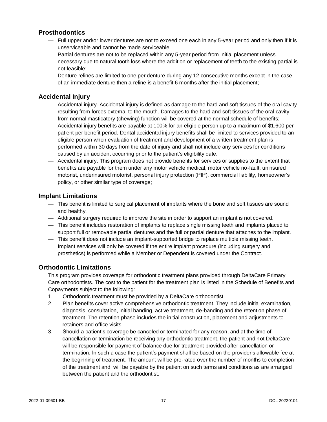## **Prosthodontics**

- Full upper and/or lower dentures are not to exceed one each in any 5-year period and only then if it is unserviceable and cannot be made serviceable;
- Partial dentures are not to be replaced within any 5-year period from initial placement unless necessary due to natural tooth loss where the addition or replacement of teeth to the existing partial is not feasible:
- Denture relines are limited to one per denture during any 12 consecutive months except in the case of an immediate denture then a reline is a benefit 6 months after the initial placement;

## **Accidental Injury**

- Accidental injury. Accidental injury is defined as damage to the hard and soft tissues of the oral cavity resulting from forces external to the mouth. Damages to the hard and soft tissues of the oral cavity from normal masticatory (chewing) function will be covered at the normal schedule of benefits;
- Accidental injury benefits are payable at 100% for an eligible person up to a maximum of \$1,600 per patient per benefit period. Dental accidental injury benefits shall be limited to services provided to an eligible person when evaluation of treatment and development of a written treatment plan is performed within 30 days from the date of injury and shall not include any services for conditions caused by an accident occurring prior to the patient's eligibility date.
- Accidental injury. This program does not provide benefits for services or supplies to the extent that benefits are payable for them under any motor vehicle medical, motor vehicle no-fault, uninsured motorist, underinsured motorist, personal injury protection (PIP), commercial liability, homeowner's policy, or other similar type of coverage;

## **Implant Limitations**

- This benefit is limited to surgical placement of implants where the bone and soft tissues are sound and healthy.
- Additional surgery required to improve the site in order to support an implant is not covered.
- This benefit includes restoration of implants to replace single missing teeth and implants placed to support full or removable partial dentures and the full or partial denture that attaches to the implant.
- This benefit does not include an implant-supported bridge to replace multiple missing teeth.
- Implant services will only be covered if the entire implant procedure (including surgery and prosthetics) is performed while a Member or Dependent is covered under the Contract.

## **Orthodontic Limitations**

This program provides coverage for orthodontic treatment plans provided through DeltaCare Primary Care orthodontists. The cost to the patient for the treatment plan is listed in the Schedule of Benefits and Copayments subject to the following:

- 1. Orthodontic treatment must be provided by a DeltaCare orthodontist.
- 2. Plan benefits cover active comprehensive orthodontic treatment. They include initial examination, diagnosis, consultation, initial banding, active treatment, de-banding and the retention phase of treatment. The retention phase includes the initial construction, placement and adjustments to retainers and office visits.
- 3. Should a patient's coverage be canceled or terminated for any reason, and at the time of cancellation or termination be receiving any orthodontic treatment, the patient and not DeltaCare will be responsible for payment of balance due for treatment provided after cancellation or termination. In such a case the patient's payment shall be based on the provider's allowable fee at the beginning of treatment. The amount will be pro-rated over the number of months to completion of the treatment and, will be payable by the patient on such terms and conditions as are arranged between the patient and the orthodontist.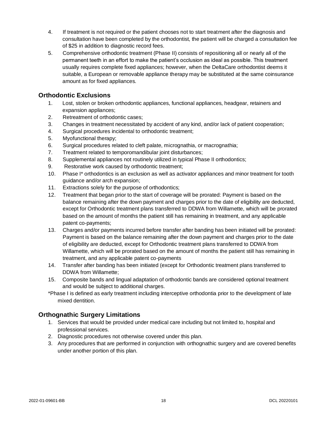- 4. If treatment is not required or the patient chooses not to start treatment after the diagnosis and consultation have been completed by the orthodontist, the patient will be charged a consultation fee of \$25 in addition to diagnostic record fees.
- 5. Comprehensive orthodontic treatment (Phase II) consists of repositioning all or nearly all of the permanent teeth in an effort to make the patient's occlusion as ideal as possible. This treatment usually requires complete fixed appliances; however, when the DeltaCare orthodontist deems it suitable, a European or removable appliance therapy may be substituted at the same coinsurance amount as for fixed appliances.

## **Orthodontic Exclusions**

- 1. Lost, stolen or broken orthodontic appliances, functional appliances, headgear, retainers and expansion appliances;
- 2. Retreatment of orthodontic cases;
- 3. Changes in treatment necessitated by accident of any kind, and/or lack of patient cooperation;
- 4. Surgical procedures incidental to orthodontic treatment;
- 5. Myofunctional therapy;
- 6. Surgical procedures related to cleft palate, micrognathia, or macrognathia;
- 7. Treatment related to temporomandibular joint disturbances;
- 8. Supplemental appliances not routinely utilized in typical Phase II orthodontics;
- 9. Restorative work caused by orthodontic treatment;
- 10. Phase I\* orthodontics is an exclusion as well as activator appliances and minor treatment for tooth guidance and/or arch expansion;
- 11. Extractions solely for the purpose of orthodontics;
- 12. Treatment that began prior to the start of coverage will be prorated: Payment is based on the balance remaining after the down payment and charges prior to the date of eligibility are deducted, except for Orthodontic treatment plans transferred to DDWA from Willamette, which will be prorated based on the amount of months the patient still has remaining in treatment, and any applicable patent co-payments;
- 13. Charges and/or payments incurred before transfer after banding has been initiated will be prorated: Payment is based on the balance remaining after the down payment and charges prior to the date of eligibility are deducted, except for Orthodontic treatment plans transferred to DDWA from Willamette, which will be prorated based on the amount of months the patient still has remaining in treatment, and any applicable patent co-payments
- 14. Transfer after banding has been initiated (except for Orthodontic treatment plans transferred to DDWA from Willamette;
- 15. Composite bands and lingual adaptation of orthodontic bands are considered optional treatment and would be subject to additional charges.
- \*Phase I is defined as early treatment including interceptive orthodontia prior to the development of late mixed dentition.

## **Orthognathic Surgery Limitations**

- 1. Services that would be provided under medical care including but not limited to, hospital and professional services.
- 2. Diagnostic procedures not otherwise covered under this plan.
- 3. Any procedures that are performed in conjunction with orthognathic surgery and are covered benefits under another portion of this plan.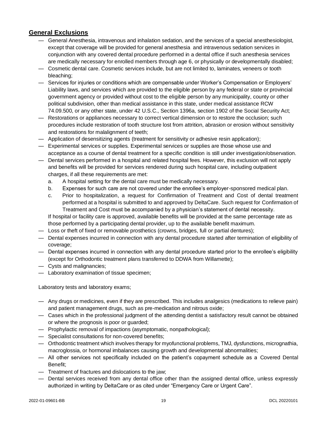## <span id="page-22-0"></span>**General Exclusions**

- General Anesthesia, intravenous and inhalation sedation, and the services of a special anesthesiologist, except that coverage will be provided for general anesthesia and intravenous sedation services in conjunction with any covered dental procedure performed in a dental office if such anesthesia services are medically necessary for enrolled members through age 6, or physically or developmentally disabled;
- Cosmetic dental care. Cosmetic services include, but are not limited to, laminates, veneers or tooth bleaching;
- Services for injuries or conditions which are compensable under Worker's Compensation or Employers' Liability laws, and services which are provided to the eligible person by any federal or state or provincial government agency or provided without cost to the eligible person by any municipality, county or other political subdivision, other than medical assistance in this state, under medical assistance RCW 74.09.500, or any other state, under 42 U.S.C., Section 1396a, section 1902 of the Social Security Act;
- Restorations or appliances necessary to correct vertical dimension or to restore the occlusion; such procedures include restoration of tooth structure lost from attrition, abrasion or erosion without sensitivity and restorations for malalignment of teeth;
- Application of desensitizing agents (treatment for sensitivity or adhesive resin application);
- Experimental services or supplies. Experimental services or supplies are those whose use and acceptance as a course of dental treatment for a specific condition is still under investigation/observation.
- Dental services performed in a hospital and related hospital fees. However, this exclusion will not apply and benefits will be provided for services rendered during such hospital care, including outpatient charges, if all these requirements are met:
	- a. A hospital setting for the dental care must be medically necessary.
	- b. Expenses for such care are not covered under the enrollee's employer-sponsored medical plan.
	- c. Prior to hospitalization, a request for Confirmation of Treatment and Cost of dental treatment performed at a hospital is submitted to and approved by DeltaCare. Such request for Confirmation of Treatment and Cost must be accompanied by a physician's statement of dental necessity.

If hospital or facility care is approved, available benefits will be provided at the same percentage rate as those performed by a participating dental provider, up to the available benefit maximum.

- Loss or theft of fixed or removable prosthetics (crowns, bridges, full or partial dentures);
- Dental expenses incurred in connection with any dental procedure started after termination of eligibility of coverage;
- Dental expenses incurred in connection with any dental procedure started prior to the enrollee's eligibility (except for Orthodontic treatment plans transferred to DDWA from Willamette);
- Cysts and malignancies;
- Laboratory examination of tissue specimen;

Laboratory tests and laboratory exams;

- Any drugs or medicines, even if they are prescribed. This includes analgesics (medications to relieve pain) and patient management drugs, such as pre-medication and nitrous oxide;
- Cases which in the professional judgment of the attending dentist a satisfactory result cannot be obtained or where the prognosis is poor or guarded;
- Prophylactic removal of impactions (asymptomatic, nonpathological);
- Specialist consultations for non-covered benefits;
- Orthodontic treatment which involves therapy for myofunctional problems, TMJ, dysfunctions, micrognathia, macroglossia, or hormonal imbalances causing growth and developmental abnormalities;
- All other services not specifically included on the patient's copayment schedule as a Covered Dental Benefit;
- Treatment of fractures and dislocations to the jaw;
- Dental services received from any dental office other than the assigned dental office, unless expressly authorized in writing by DeltaCare or as cited under "Emergency Care or Urgent Care".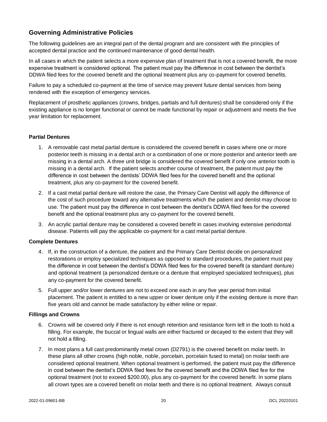## <span id="page-23-0"></span>**Governing Administrative Policies**

The following guidelines are an integral part of the dental program and are consistent with the principles of accepted dental practice and the continued maintenance of good dental health.

In all cases in which the patient selects a more expensive plan of treatment that is not a covered benefit, the more expensive treatment is considered optional. The patient must pay the difference in cost between the dentist's DDWA filed fees for the covered benefit and the optional treatment plus any co-payment for covered benefits.

Failure to pay a scheduled co-payment at the time of service may prevent future dental services from being rendered with the exception of emergency services.

Replacement of prosthetic appliances (crowns, bridges, partials and full dentures) shall be considered only if the existing appliance is no longer functional or cannot be made functional by repair or adjustment and meets the five year limitation for replacement.

#### **Partial Dentures**

- 1. A removable cast metal partial denture is considered the covered benefit in cases where one or more posterior teeth is missing in a dental arch or a combination of one or more posterior and anterior teeth are missing in a dental arch. A three unit bridge is considered the covered benefit if only one anterior tooth is missing in a dental arch. If the patient selects another course of treatment, the patient must pay the difference in cost between the dentists' DDWA filed fees for the covered benefit and the optional treatment, plus any co-payment for the covered benefit.
- 2. If a cast metal partial denture will restore the case, the Primary Care Dentist will apply the difference of the cost of such procedure toward any alternative treatments which the patient and dentist may choose to use. The patient must pay the difference in cost between the dentist's DDWA filed fees for the covered benefit and the optional treatment plus any co-payment for the covered benefit.
- 3. An acrylic partial denture may be considered a covered benefit in cases involving extensive periodontal disease. Patients will pay the applicable co-payment for a cast metal partial denture.

#### **Complete Dentures**

- 4. If, in the construction of a denture, the patient and the Primary Care Dentist decide on personalized restorations or employ specialized techniques as opposed to standard procedures, the patient must pay the difference in cost between the dentist's DDWA filed fees for the covered benefit (a standard denture) and optional treatment (a personalized denture or a denture that employed specialized techniques), plus any co-payment for the covered benefit.
- 5. Full upper and/or lower dentures are not to exceed one each in any five year period from initial placement. The patient is entitled to a new upper or lower denture only if the existing denture is more than five years old and cannot be made satisfactory by either reline or repair.

#### **Fillings and Crowns**

- 6. Crowns will be covered only if there is not enough retention and resistance form left in the tooth to hold a filling. For example, the buccal or lingual walls are either fractured or decayed to the extent that they will not hold a filling.
- 7. In most plans a full cast predominantly metal crown (D2791) is the covered benefit on molar teeth. In these plans all other crowns (high noble, noble, porcelain, porcelain fused to metal) on molar teeth are considered optional treatment. When optional treatment is performed, the patient must pay the difference in cost between the dentist's DDWA filed fees for the covered benefit and the DDWA filed fee for the optional treatment (not to exceed \$200.00), plus any co-payment for the covered benefit. In some plans all crown types are a covered benefit on molar teeth and there is no optional treatment. Always consult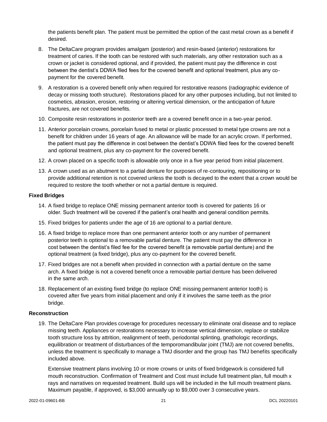the patients benefit plan. The patient must be permitted the option of the cast metal crown as a benefit if desired.

- 8. The DeltaCare program provides amalgam (posterior) and resin-based (anterior) restorations for treatment of caries. If the tooth can be restored with such materials, any other restoration such as a crown or jacket is considered optional, and if provided, the patient must pay the difference in cost between the dentist's DDWA filed fees for the covered benefit and optional treatment, plus any copayment for the covered benefit.
- 9. A restoration is a covered benefit only when required for restorative reasons (radiographic evidence of decay or missing tooth structure). Restorations placed for any other purposes including, but not limited to cosmetics, abrasion, erosion, restoring or altering vertical dimension, or the anticipation of future fractures, are not covered benefits.
- 10. Composite resin restorations in posterior teeth are a covered benefit once in a two-year period.
- 11. Anterior porcelain crowns, porcelain fused to metal or plastic processed to metal type crowns are not a benefit for children under 16 years of age. An allowance will be made for an acrylic crown. If performed, the patient must pay the difference in cost between the dentist's DDWA filed fees for the covered benefit and optional treatment, plus any co-payment for the covered benefit.
- 12. A crown placed on a specific tooth is allowable only once in a five year period from initial placement.
- 13. A crown used as an abutment to a partial denture for purposes of re-contouring, repositioning or to provide additional retention is not covered unless the tooth is decayed to the extent that a crown would be required to restore the tooth whether or not a partial denture is required.

#### **Fixed Bridges**

- 14. A fixed bridge to replace ONE missing permanent anterior tooth is covered for patients 16 or older. Such treatment will be covered if the patient's oral health and general condition permits.
- 15. Fixed bridges for patients under the age of 16 are optional to a partial denture.
- 16. A fixed bridge to replace more than one permanent anterior tooth or any number of permanent posterior teeth is optional to a removable partial denture. The patient must pay the difference in cost between the dentist's filed fee for the covered benefit (a removable partial denture) and the optional treatment (a fixed bridge), plus any co-payment for the covered benefit.
- 17. Fixed bridges are not a benefit when provided in connection with a partial denture on the same arch. A fixed bridge is not a covered benefit once a removable partial denture has been delivered in the same arch.
- 18. Replacement of an existing fixed bridge (to replace ONE missing permanent anterior tooth) is covered after five years from initial placement and only if it involves the same teeth as the prior bridge.

#### **Reconstruction**

19. The DeltaCare Plan provides coverage for procedures necessary to eliminate oral disease and to replace missing teeth. Appliances or restorations necessary to increase vertical dimension, replace or stabilize tooth structure loss by attrition, realignment of teeth, periodontal splinting, gnathologic recordings, equilibration or treatment of disturbances of the temporomandibular joint (TMJ) are not covered benefits, unless the treatment is specifically to manage a TMJ disorder and the group has TMJ benefits specifically included above.

Extensive treatment plans involving 10 or more crowns or units of fixed bridgework is considered full mouth reconstruction. Confirmation of Treatment and Cost must include full treatment plan, full mouth x rays and narratives on requested treatment. Build ups will be included in the full mouth treatment plans. Maximum payable, if approved, is \$3,000 annually up to \$9,000 over 3 consecutive years.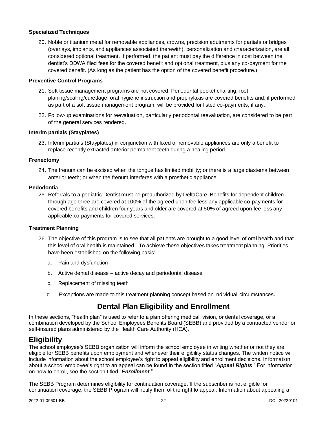#### **Specialized Techniques**

20. Noble or titanium metal for removable appliances, crowns, precision abutments for partials or bridges (overlays, implants, and appliances associated therewith), personalization and characterization, are all considered optional treatment. If performed, the patient must pay the difference in cost between the dentist's DDWA filed fees for the covered benefit and optional treatment, plus any co-payment for the covered benefit. (As long as the patient has the option of the covered benefit procedure.)

#### **Preventive Control Programs**

- 21. Soft tissue management programs are not covered. Periodontal pocket charting, root planing/scaling/curettage, oral hygiene instruction and prophylaxis are covered benefits and, if performed as part of a soft tissue management program, will be provided for listed co-payments, if any.
- 22. Follow-up examinations for reevaluation, particularly periodontal reevaluation, are considered to be part of the general services rendered.

#### **Interim partials (Stayplates)**

23. Interim partials (Stayplates) in conjunction with fixed or removable appliances are only a benefit to replace recently extracted anterior permanent teeth during a healing period.

#### **Frenectomy**

24. The frenum can be excised when the tongue has limited mobility; or there is a large diastema between anterior teeth; or when the frenum interferes with a prosthetic appliance.

#### **Pedodontia**

25. Referrals to a pediatric Dentist must be preauthorized by DeltaCare. Benefits for dependent children through age three are covered at 100% of the agreed upon fee less any applicable co-payments for covered benefits and children four years and older are covered at 50% of agreed upon fee less any applicable co-payments for covered services.

#### **Treatment Planning**

- 26. The objective of this program is to see that all patients are brought to a good level of oral health and that this level of oral health is maintained. To achieve these objectives takes treatment planning. Priorities have been established on the following basis:
	- a. Pain and dysfunction
	- b. Active dental disease active decay and periodontal disease
	- c. Replacement of missing teeth
	- d. Exceptions are made to this treatment planning concept based on individual circumstances.

## **Dental Plan Eligibility and Enrollment**

In these sections, "health plan" is used to refer to a plan offering medical, vision, or dental coverage, or a combination developed by the School Employees Benefits Board (SEBB) and provided by a contracted vendor or self-insured plans administered by the Health Care Authority (HCA).

## <span id="page-25-0"></span>**Eligibility**

The school employee's SEBB organization will inform the school employee in writing whether or not they are eligible for SEBB benefits upon employment and whenever their eligibility status changes. The written notice will include information about the school employee's right to appeal eligibility and enrollment decisions. Information about a school employee's right to an appeal can be found in the section titled "*Appeal Rights*." For information on how to enroll, see the section titled "*Enrollment*."

The SEBB Program determines eligibility for continuation coverage. If the subscriber is not eligible for continuation coverage, the SEBB Program will notify them of the right to appeal. Information about appealing a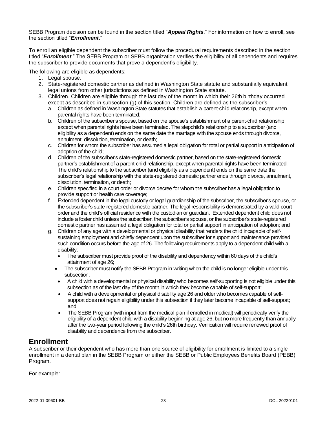SEBB Program decision can be found in the section titled "*Appeal Rights*." For information on how to enroll, see the section titled "*Enrollment*."

To enroll an eligible dependent the subscriber must follow the procedural requirements described in the section titled "*Enrollment*." The SEBB Program or SEBB organization verifies the eligibility of all dependents and requires the subscriber to provide documents that prove a dependent's eligibility.

The following are eligible as dependents:

- 1. Legal spouse.
- 2. State-registered domestic partner as defined in Washington State statute and substantially equivalent legal unions from other jurisdictions as defined in Washington State statute.
- 3. Children. Children are eligible through the last day of the month in which their 26th birthday occurred except as described in subsection (g) of this section. Children are defined as the subscriber's:
	- a. Children as defined in Washington State statutes that establish a parent-child relationship, except when parental rights have been terminated;
	- b. Children of the subscriber's spouse, based on the spouse's establishment of a parent-child relationship, except when parental rights have been terminated. The stepchild's relationship to a subscriber (and eligibility as a dependent) ends on the same date the marriage with the spouse ends through divorce, annulment, dissolution, termination, or death;
	- c. Children for whom the subscriber has assumed a legal obligation for total or partial support in anticipation of adoption of the child;
	- d. Children of the subscriber's state-registered domestic partner, based on the state-registered domestic partner's establishment of a parent-child relationship, except when parental rights have been terminated. The child's relationship to the subscriber (and eligibility as a dependent) ends on the same date the subscriber's legal relationship with the state-registered domestic partner ends through divorce, annulment, dissolution, termination, or death;
	- e. Children specified in a court order or divorce decree for whom the subscriber has a legal obligation to provide support or health care coverage;
	- f. Extended dependent in the legal custody or legal guardianship of the subscriber, the subscriber's spouse, or the subscriber's state-registered domestic partner. The legal responsibility is demonstrated by a valid court order and the child's official residence with the custodian or guardian. Extended dependent child does not include a foster child unless the subscriber, the subscriber's spouse, or the subscriber's state-registered domestic partner has assumed a legal obligation for total or partial support in anticipation of adoption; and
	- g. Children of any age with a developmental or physical disability that renders the child incapable of selfsustaining employment and chiefly dependent upon the subscriber for support and maintenance provided such condition occurs before the age of 26. The following requirements apply to a dependent child with a disability:
		- The subscriber must provide proof of the disability and dependency within 60 days of the child's attainment of age 26;
		- The subscriber must notify the SEBB Program in writing when the child is no longer eligible under this subsection;
		- A child with a developmental or physical disability who becomes self-supporting is not eligible under this subsection as of the last day of the month in which they become capable of self-support;
		- A child with a developmental or physical disability age 26 and older who becomes capable of selfsupport does not regain eligibility under this subsection if they later become incapable of self-support; and
		- The SEBB Program (with input from the medical plan if enrolled in medical) will periodically verify the eligibility of a dependent child with a disability beginning at age 26, but no more frequently than annually after the two-year period following the child's 26th birthday. Verification will require renewed proof of disability and dependence from the subscriber.

## <span id="page-26-0"></span>**Enrollment**

A subscriber or their dependent who has more than one source of eligibility for enrollment is limited to a single enrollment in a dental plan in the SEBB Program or either the SEBB or Public Employees Benefits Board (PEBB) Program.

For example: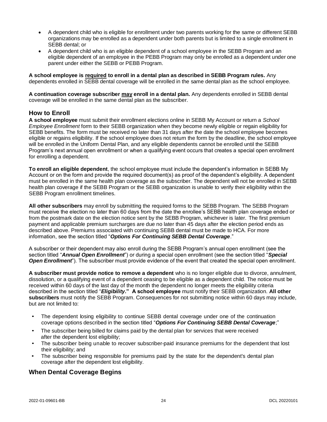- A dependent child who is eligible for enrollment under two parents working for the same or different SEBB organizations may be enrolled as a dependent under both parents but is limited to a single enrollment in SEBB dental; or
- A dependent child who is an eligible dependent of a school employee in the SEBB Program and an eligible dependent of an employee in the PEBB Program may only be enrolled as a dependent under one parent under either the SEBB or PEBB Program.

**A school employee is required to enroll in a dental plan as described in SEBB Program rules.** Any dependents enrolled in SEBB dental coverage will be enrolled in the same dental plan as the school employee.

**A continuation coverage subscriber may enroll in a dental plan.** Any dependents enrolled in SEBB dental coverage will be enrolled in the same dental plan as the subscriber.

#### **How to Enroll**

**A school employee** must submit their enrollment elections online in SEBB My Account or return a *School Employee Enrollment* form to their SEBB organization when they become newly eligible or regain eligibility for SEBB benefits. The form must be received no later than 31 days after the date the school employee becomes eligible or regains eligibility. If the school employee does not return the form by the deadline, the school employee will be enrolled in the Uniform Dental Plan, and any eligible dependents cannot be enrolled until the SEBB Program's next annual open enrollment or when a qualifying event occurs that creates a special open enrollment for enrolling a dependent.

**To enroll an eligible dependent**, the school employee must include the dependent's information in SEBB My Account or on the form and provide the required document(s) as proof of the dependent's eligibility. A dependent must be enrolled in the same health plan coverage as the subscriber. The dependent will not be enrolled in SEBB health plan coverage if the SEBB Program or the SEBB organization is unable to verify their eligibility within the SEBB Program enrollment timelines.

**All other subscribers** may enroll by submitting the required forms to the SEBB Program. The SEBB Program must receive the election no later than 60 days from the date the enrollee's SEBB health plan coverage ended or from the postmark date on the election notice sent by the SEBB Program, whichever is later. The first premium payment and applicable premium surcharges are due no later than 45 days after the election period ends as described above. Premiums associated with continuing SEBB dental must be made to HCA. For more information, see the section titled "*Options For Continuing SEBB Dental Coverage*."

A subscriber or their dependent may also enroll during the SEBB Program's annual open enrollment (see the section titled "*Annual Open Enrollment*") or during a special open enrollment (see the section titled "*Special Open Enrollment*"). The subscriber must provide evidence of the event that created the special open enrollment.

**A subscriber must provide notice to remove a dependent** who is no longer eligible due to divorce, annulment, dissolution, or a qualifying event of a dependent ceasing to be eligible as a dependent child. The notice must be received within 60 days of the last day of the month the dependent no longer meets the eligibility criteria described in the section titled "*Eligibility***." A school employee** must notify their SEBB organization. **All other subscribers** must notify the SEBB Program. Consequences for not submitting notice within 60 days may include, but are not limited to:

- The dependent losing eligibility to continue SEBB dental coverage under one of the continuation coverage options described in the section titled "*Options For Continuing SEBB Dental Coverage*;"
- The subscriber being billed for claims paid by the dental plan for services that were received after the dependent lost eligibility;
- The subscriber being unable to recover subscriber-paid insurance premiums for the dependent that lost their eligibility; and
- The subscriber being responsible for premiums paid by the state for the dependent's dental plan coverage after the dependent lost eligibility.

#### <span id="page-27-0"></span>**When Dental Coverage Begins**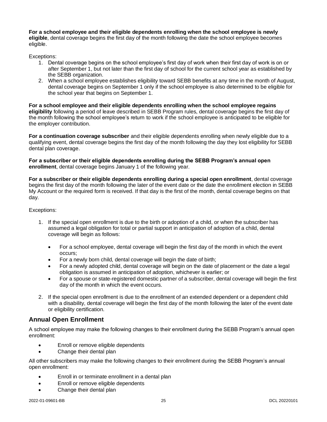**For a school employee and their eligible dependents enrolling when the school employee is newly eligible**, dental coverage begins the first day of the month following the date the school employee becomes eligible.

Exceptions:

- 1. Dental coverage begins on the school employee's first day of work when their first day of work is on or after September 1, but not later than the first day of school for the current school year as established by the SEBB organization.
- 2. When a school employee establishes eligibility toward SEBB benefits at any time in the month of August, dental coverage begins on September 1 only if the school employee is also determined to be eligible for the school year that begins on September 1.

**For a school employee and their eligible dependents enrolling when the school employee regains eligibility** following a period of leave described in SEBB Program rules, dental coverage begins the first day of the month following the school employee's return to work if the school employee is anticipated to be eligible for the employer contribution.

**For a continuation coverage subscriber** and their eligible dependents enrolling when newly eligible due to a qualifying event, dental coverage begins the first day of the month following the day they lost eligibility for SEBB dental plan coverage.

**For a subscriber or their eligible dependents enrolling during the SEBB Program's annual open enrollment**, dental coverage begins January 1 of the following year.

**For a subscriber or their eligible dependents enrolling during a special open enrollment**, dental coverage begins the first day of the month following the later of the event date or the date the enrollment election in SEBB My Account or the required form is received. If that day is the first of the month, dental coverage begins on that day.

#### Exceptions:

- 1. If the special open enrollment is due to the birth or adoption of a child, or when the subscriber has assumed a legal obligation for total or partial support in anticipation of adoption of a child, dental coverage will begin as follows:
	- For a school employee, dental coverage will begin the first day of the month in which the event occurs;
	- For a newly born child, dental coverage will begin the date of birth;
	- For a newly adopted child, dental coverage will begin on the date of placement or the date a legal obligation is assumed in anticipation of adoption, whichever is earlier; or
	- For a spouse or state-registered domestic partner of a subscriber, dental coverage will begin the first day of the month in which the event occurs.
- 2. If the special open enrollment is due to the enrollment of an extended dependent or a dependent child with a disability, dental coverage will begin the first day of the month following the later of the event date or eligibility certification.

#### <span id="page-28-0"></span>**Annual Open Enrollment**

A school employee may make the following changes to their enrollment during the SEBB Program's annual open enrollment:

- Enroll or remove eligible dependents
- Change their dental plan

All other subscribers may make the following changes to their enrollment during the SEBB Program's annual open enrollment:

- Enroll in or terminate enrollment in a dental plan
- Enroll or remove eligible dependents
- Change their dental plan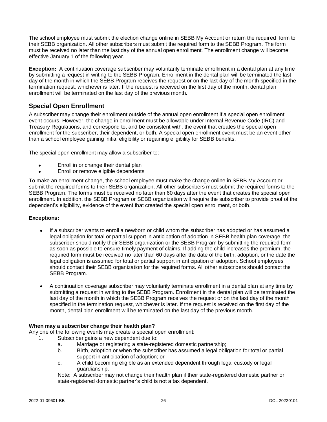The school employee must submit the election change online in SEBB My Account or return the required form to their SEBB organization. All other subscribers must submit the required form to the SEBB Program. The form must be received no later than the last day of the annual open enrollment. The enrollment change will become effective January 1 of the following year.

**Exception:** A continuation coverage subscriber may voluntarily terminate enrollment in a dental plan at any time by submitting a request in writing to the SEBB Program. Enrollment in the dental plan will be terminated the last day of the month in which the SEBB Program receives the request or on the last day of the month specified in the termination request, whichever is later. If the request is received on the first day of the month, dental plan enrollment will be terminated on the last day of the previous month.

## **Special Open Enrollment**

A subscriber may change their enrollment outside of the annual open enrollment if a special open enrollment event occurs. However, the change in enrollment must be allowable under Internal Revenue Code (IRC) and Treasury Regulations, and correspond to, and be consistent with, the event that creates the special open enrollment for the subscriber, their dependent, or both. A special open enrollment event must be an event other than a school employee gaining initial eligibility or regaining eligibility for SEBB benefits.

The special open enrollment may allow a subscriber to:

- Enroll in or change their dental plan
- Enroll or remove eligible dependents

To make an enrollment change, the school employee must make the change online in SEBB My Account or submit the required forms to their SEBB organization. All other subscribers must submit the required forms to the SEBB Program. The forms must be received no later than 60 days after the event that creates the special open enrollment. In addition, the SEBB Program or SEBB organization will require the subscriber to provide proof of the dependent's eligibility, evidence of the event that created the special open enrollment, or both.

#### **Exceptions:**

- If a subscriber wants to enroll a newborn or child whom the subscriber has adopted or has assumed a legal obligation for total or partial support in anticipation of adoption in SEBB health plan coverage, the subscriber should notify their SEBB organization or the SEBB Program by submitting the required form as soon as possible to ensure timely payment of claims. If adding the child increases the premium, the required form must be received no later than 60 days after the date of the birth, adoption, or the date the legal obligation is assumed for total or partial support in anticipation of adoption. School employees should contact their SEBB organization for the required forms. All other subscribers should contact the SEBB Program.
- A continuation coverage subscriber may voluntarily terminate enrollment in a dental plan at any time by submitting a request in writing to the SEBB Program. Enrollment in the dental plan will be terminated the last day of the month in which the SEBB Program receives the request or on the last day of the month specified in the termination request, whichever is later. If the request is received on the first day of the month, dental plan enrollment will be terminated on the last day of the previous month.

#### **When may a subscriber change their health plan?**

Any one of the following events may create a special open enrollment:

- 1. Subscriber gains a new dependent due to:
	- a. Marriage or registering a state-registered domestic partnership;
	- b. Birth, adoption or when the subscriber has assumed a legal obligation for total or partial support in anticipation of adoption; or
	- c. A child becoming eligible as an extended dependent through legal custody or legal guardianship.

Note: A subscriber may not change their health plan if their state-registered domestic partner or state-registered domestic partner's child is not a tax dependent.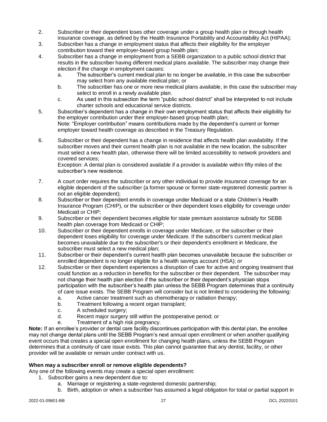- 2. Subscriber or their dependent loses other coverage under a group health plan or through health insurance coverage, as defined by the Health Insurance Portability and Accountability Act (HIPAA);
- 3. Subscriber has a change in employment status that affects their eligibility for the employer contribution toward their employer-based group health plan;
- 4. Subscriber has a change in employment from a SEBB organization to a public school district that results in the subscriber having different medical plans available. The subscriber may change their election if the change in employment causes:
	- a. The subscriber's current medical plan to no longer be available, in this case the subscriber may select from any available medical plan; or
	- b. The subscriber has one or more new medical plans available, in this case the subscriber may select to enroll in a newly available plan.
	- c. As used in this subsection the term "public school district" shall be interpreted to not include charter schools and educational service districts.
- 5. Subscriber's dependent has a change in their own employment status that affects their eligibility for the employer contribution under their employer-based group health plan; Note: "Employer contribution" means contributions made by the dependent's current or former employer toward health coverage as described in the Treasury Regulation.
- 6. Subscriber or their dependent has a change in residence that affects health plan availability. If the subscriber moves and their current health plan is not available in the new location, the subscriber must select a new health plan, otherwise there will be limited accessibility to network providers and covered services;

Exception: A dental plan is considered available if a provider is available within fifty miles of the subscriber's new residence.

- 7. A court order requires the subscriber or any other individual to provide insurance coverage for an eligible dependent of the subscriber (a former spouse or former state-registered domestic partner is not an eligible dependent);
- 8. Subscriber or their dependent enrolls in coverage under Medicaid or a state Children's Health Insurance Program (CHIP), or the subscriber or their dependent loses eligibility for coverage under Medicaid or CHIP;
- 9. Subscriber or their dependent becomes eligible for state premium assistance subsidy for SEBB health plan coverage from Medicaid or CHIP;
- 10. Subscriber or their dependent enrolls in coverage under Medicare, or the subscriber or their dependent loses eligibility for coverage under Medicare. If the subscriber's current medical plan becomes unavailable due to the subscriber's or their dependent's enrollment in Medicare, the subscriber must select a new medical plan;
- 11. Subscriber or their dependent's current health plan becomes unavailable because the subscriber or enrolled dependent is no longer eligible for a health savings account (HSA); or
- 12. Subscriber or their dependent experiences a disruption of care for active and ongoing treatment that could function as a reduction in benefits for the subscriber or their dependent. The subscriber may not change their health plan election if the subscriber or their dependent's physician stops participation with the subscriber's health plan unless the SEBB Program determines that a continuity of care issue exists. The SEBB Program will consider but is not limited to considering the following:
	- a. Active cancer treatment such as chemotherapy or radiation therapy;
	- b. Treatment following a recent organ transplant;
	- c. A scheduled surgery;
	- d. Recent major surgery still within the postoperative period; or
	- e. Treatment of a high risk pregnancy.

**Note:** If an enrollee's provider or dental care facility discontinues participation with this dental plan, the enrollee may not change dental plans until the SEBB Program's next annual open enrollment or when another qualifying event occurs that creates a special open enrollment for changing health plans, unless the SEBB Program determines that a continuity of care issue exists. This plan cannot guarantee that any dentist, facility, or other provider will be available or remain under contract with us.

#### **When may a subscriber enroll or remove eligible dependents?**

Any one of the following events may create a special open enrollment:

- 1. Subscriber gains a new dependent due to:
	- a. Marriage or registering a state-registered domestic partnership;
	- b. Birth, adoption or when a subscriber has assumed a legal obligation for total or partial support in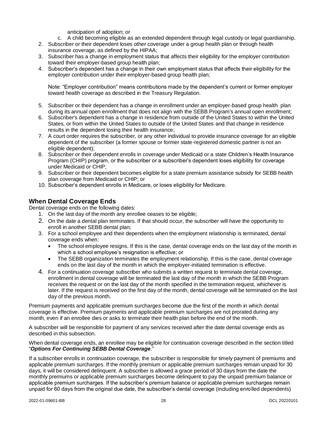anticipation of adoption; or

- c. A child becoming eligible as an extended dependent through legal custody or legal guardianship.
- 2. Subscriber or their dependent loses other coverage under a group health plan or through health insurance coverage, as defined by the HIPAA;
- 3. Subscriber has a change in employment status that affects their eligibility for the employer contribution toward their employer-based group health plan;
- 4. Subscriber's dependent has a change in their own employment status that affects their eligibility for the employer contribution under their employer-based group health plan;

Note: "Employer contribution" means contributions made by the dependent's current or former employer toward health coverage as described in the Treasury Regulation.

- 5. Subscriber or their dependent has a change in enrollment under an employer-based group health plan during its annual open enrollment that does not align with the SEBB Program's annual open enrollment;
- 6. Subscriber's dependent has a change in residence from outside of the United States to within the United States, or from within the United States to outside of the United States and that change in residence results in the dependent losing their health insurance;
- 7. A court order requires the subscriber, or any other individual to provide insurance coverage for an eligible dependent of the subscriber (a former spouse or former state-registered domestic partner is not an eligible dependent);
- 8. Subscriber or their dependent enrolls in coverage under Medicaid or a state Children's Health Insurance Program (CHIP) program, or the subscriber or a subscriber's dependent loses eligibility for coverage under Medicaid or CHIP;
- 9. Subscriber or their dependent becomes eligible for a state premium assistance subsidy for SEBB health plan coverage from Medicaid or CHIP; or
- 10. Subscriber's dependent enrolls in Medicare, or loses eligibility for Medicare.

## <span id="page-31-0"></span>**When Dental Coverage Ends**

Dental coverage ends on the following dates:

- 1. On the last day of the month any enrollee ceases to be eligible;
- 2. On the date a dental plan terminates. If that should occur, the subscriber will have the opportunity to enroll in another SEBB dental plan;
- 3. For a school employee and their dependents when the employment relationship is terminated, dental coverage ends when:
	- The school employee resigns. If this is the case, dental coverage ends on the last day of the month in which a school employee's resignation is effective; or
	- The SEBB organization terminates the employment relationship. If this is the case, dental coverage ends on the last day of the month in which the employer-initiated termination is effective.
- 4. For a continuation coverage subscriber who submits a written request to terminate dental coverage, enrollment in dental coverage will be terminated the last day of the month in which the SEBB Program receives the request or on the last day of the month specified in the termination request, whichever is later. If the request is received on the first day of the month, dental coverage will be terminated on the last day of the previous month.

Premium payments and applicable premium surcharges become due the first of the month in which dental coverage is effective. Premium payments and applicable premium surcharges are not prorated during any month, even if an enrollee dies or asks to terminate their health plan before the end of the month.

A subscriber will be responsible for payment of any services received after the date dental coverage ends as described in this subsection.

When dental coverage ends, an enrollee may be eligible for continuation coverage described in the section titled "*Options For Continuing SEBB Dental Coverage*."

If a subscriber enrolls in continuation coverage, the subscriber is responsible for timely payment of premiums and applicable premium surcharges. If the monthly premium or applicable premium surcharges remain unpaid for 30 days, it will be considered delinquent. A subscriber is allowed a grace period of 30 days from the date the monthly premiums or applicable premium surcharges become delinquent to pay the unpaid premium balance or applicable premium surcharges. If the subscriber's premium balance or applicable premium surcharges remain unpaid for 60 days from the original due date, the subscriber's dental coverage (including enrolled dependents)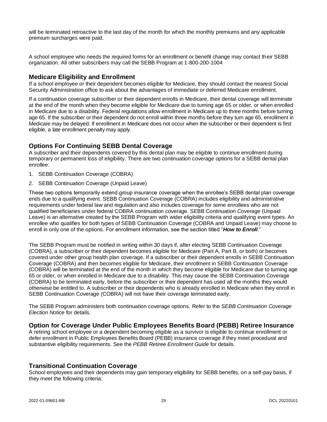will be terminated retroactive to the last day of the month for which the monthly premiums and any applicable premium surcharges were paid.

A school employee who needs the required forms for an enrollment or benefit change may contact their SEBB organization. All other subscribers may call the SEBB Program at 1-800-200-1004

#### **Medicare Eligibility and Enrollment**

If a school employee or their dependent becomes eligible for Medicare, they should contact the nearest Social Security Administration office to ask about the advantages of immediate or deferred Medicare enrollment.

If a continuation coverage subscriber or their dependent enrolls in Medicare, their dental coverage will terminate at the end of the month when they become eligible for Medicare due to turning age 65 or older, or when enrolled in Medicare due to a disability. Federal regulations allow enrollment in Medicare up to three months before turning age 65. If the subscriber or their dependent do not enroll within three months before they turn age 65, enrollment in Medicare may be delayed. If enrollment in Medicare does not occur when the subscriber or their dependent is first eligible, a late enrollment penalty may apply.

## **Options For Continuing SEBB Dental Coverage**

A subscriber and their dependents covered by this dental plan may be eligible to continue enrollment during temporary or permanent loss of eligibility. There are two continuation coverage options for a SEBB dental plan enrollee:

- 1. SEBB Continuation Coverage (COBRA)
- 2. SEBB Continuation Coverage (Unpaid Leave)

These two options temporarily extend group insurance coverage when the enrollee's SEBB dental plan coverage ends due to a qualifying event. SEBB Continuation Coverage (COBRA) includes eligibility and administrative requirements under federal law and regulation and also includes coverage for some enrollees who are not qualified beneficiaries under federal COBRA continuation coverage. SEBB Continuation Coverage (Unpaid Leave) is an alternative created by the SEBB Program with wider eligibility criteria and qualifying event types. An enrollee who qualifies for both types of SEBB Continuation Coverage (COBRA and Unpaid Leave) may choose to enroll in only one of the options. For enrollment information, see the section titled "*How to Enroll*."

The SEBB Program must be notified in writing within 30 days if, after electing SEBB Continuation Coverage (COBRA), a subscriber or their dependent becomes eligible for Medicare (Part A, Part B, or both) or becomes covered under other group health plan coverage. If a subscriber or their dependent enrolls in SEBB Continuation Coverage (COBRA) and then becomes eligible for Medicare, their enrollment in SEBB Continuation Coverage (COBRA) will be terminated at the end of the month in which they become eligible for Medicare due to turning age 65 or older, or when enrolled in Medicare due to a disability. This may cause the SEBB Continuation Coverage (COBRA) to be terminated early, before the subscriber or their dependent has used all the months they would otherwise be entitled to. A subscriber or their dependents who is already enrolled in Medicare when they enroll in SEBB Continuation Coverage (COBRA) will not have their coverage terminated early.

The SEBB Program administers both continuation coverage options. Refer to the *SEBB Continuation Coverage Election Notice* for details.

#### **Option for Coverage Under Public Employees Benefits Board (PEBB) Retiree Insurance**

A retiring school employee or a dependent becoming eligible as a survivor is eligible to continue enrollment or defer enrollment in Public Employees Benefits Board (PEBB) insurance coverage if they meet procedural and substantive eligibility requirements. See the *PEBB Retiree Enrollment Guide* for details.

#### **Transitional Continuation Coverage**

School employees and their dependents may gain temporary eligibility for SEBB benefits, on a self-pay basis, if they meet the following criteria: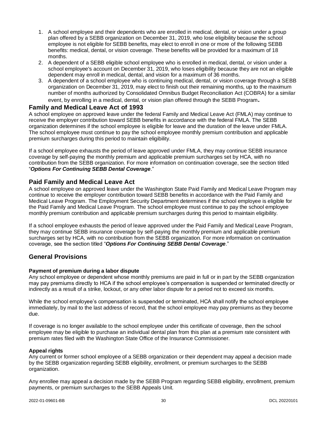- 1. A school employee and their dependents who are enrolled in medical, dental, or vision under a group plan offered by a SEBB organization on December 31, 2019, who lose eligibility because the school employee is not eligible for SEBB benefits, may elect to enroll in one or more of the following SEBB benefits: medical, dental, or vision coverage. These benefits will be provided for a maximum of 18 months.
- 2. A dependent of a SEBB eligible school employee who is enrolled in medical, dental, or vision under a school employee's account on December 31, 2019, who loses eligibility because they are not an eligible dependent may enroll in medical, dental, and vision for a maximum of 36 months.
- 3. A dependent of a school employee who is continuing medical, dental, or vision coverage through a SEBB organization on December 31, 2019, may elect to finish out their remaining months, up to the maximum number of months authorized by Consolidated Omnibus Budget Reconciliation Act (COBRA) for a similar event, by enrolling in a medical, dental, or vision plan offered through the SEBB Program**.**

#### **Family and Medical Leave Act of 1993**

A school employee on approved leave under the federal Family and Medical Leave Act (FMLA) may continue to receive the employer contribution toward SEBB benefits in accordance with the federal FMLA. The SEBB organization determines if the school employee is eligible for leave and the duration of the leave under FMLA. The school employee must continue to pay the school employee monthly premium contribution and applicable premium surcharges during this period to maintain eligibility.

If a school employee exhausts the period of leave approved under FMLA, they may continue SEBB insurance coverage by self-paying the monthly premium and applicable premium surcharges set by HCA, with no contribution from the SEBB organization. For more information on continuation coverage, see the section titled "*Options For Continuing SEBB Dental Coverage*."

#### **Paid Family and Medical Leave Act**

A school employee on approved leave under the Washington State Paid Family and Medical Leave Program may continue to receive the employer contribution toward SEBB benefits in accordance with the Paid Family and Medical Leave Program. The Employment Security Department determines if the school employee is eligible for the Paid Family and Medical Leave Program. The school employee must continue to pay the school employee monthly premium contribution and applicable premium surcharges during this period to maintain eligibility.

If a school employee exhausts the period of leave approved under the Paid Family and Medical Leave Program, they may continue SEBB insurance coverage by self-paying the monthly premium and applicable premium surcharges set by HCA, with no contribution from the SEBB organization. For more information on continuation coverage, see the section titled "*Options For Continuing SEBB Dental Coverage*."

#### **General Provisions**

#### **Payment of premium during a labor dispute**

Any school employee or dependent whose monthly premiums are paid in full or in part by the SEBB organization may pay premiums directly to HCA if the school employee's compensation is suspended or terminated directly or indirectly as a result of a strike, lockout, or any other labor dispute for a period not to exceed six months.

While the school employee's compensation is suspended or terminated, HCA shall notify the school employee immediately, by mail to the last address of record, that the school employee may pay premiums as they become due.

If coverage is no longer available to the school employee under this certificate of coverage, then the school employee may be eligible to purchase an individual dental plan from this plan at a premium rate consistent with premium rates filed with the Washington State Office of the Insurance Commissioner.

#### **Appeal rights**

Any current or former school employee of a SEBB organization or their dependent may appeal a decision made by the SEBB organization regarding SEBB eligibility, enrollment, or premium surcharges to the SEBB organization.

Any enrollee may appeal a decision made by the SEBB Program regarding SEBB eligibility, enrollment, premium payments, or premium surcharges to the SEBB Appeals Unit.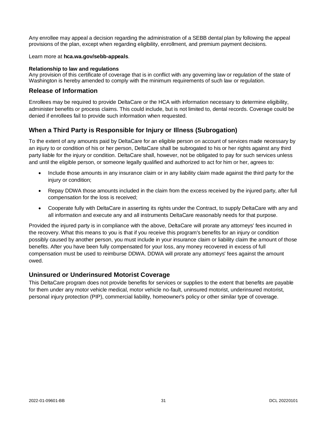Any enrollee may appeal a decision regarding the administration of a SEBB dental plan by following the appeal provisions of the plan, except when regarding eligibility, enrollment, and premium payment decisions.

#### Learn more at **hca.wa.gov/sebb-appeals**.

#### **Relationship to law and regulations**

Any provision of this certificate of coverage that is in conflict with any governing law or regulation of the state of Washington is hereby amended to comply with the minimum requirements of such law or regulation.

#### **Release of Information**

Enrollees may be required to provide DeltaCare or the HCA with information necessary to determine eligibility, administer benefits or process claims. This could include, but is not limited to, dental records. Coverage could be denied if enrollees fail to provide such information when requested.

## <span id="page-34-0"></span>**When a Third Party is Responsible for Injury or Illness (Subrogation)**

To the extent of any amounts paid by DeltaCare for an eligible person on account of services made necessary by an injury to or condition of his or her person, DeltaCare shall be subrogated to his or her rights against any third party liable for the injury or condition. DeltaCare shall, however, not be obligated to pay for such services unless and until the eligible person, or someone legally qualified and authorized to act for him or her, agrees to:

- Include those amounts in any insurance claim or in any liability claim made against the third party for the iniury or condition:
- Repay DDWA those amounts included in the claim from the excess received by the injured party, after full compensation for the loss is received;
- Cooperate fully with DeltaCare in asserting its rights under the Contract, to supply DeltaCare with any and all information and execute any and all instruments DeltaCare reasonably needs for that purpose.

Provided the injured party is in compliance with the above, DeltaCare will prorate any attorneys' fees incurred in the recovery. What this means to you is that if you receive this program's benefits for an injury or condition possibly caused by another person, you must include in your insurance claim or liability claim the amount of those benefits. After you have been fully compensated for your loss, any money recovered in excess of full compensation must be used to reimburse DDWA. DDWA will prorate any attorneys' fees against the amount owed.

#### **Uninsured or Underinsured Motorist Coverage**

This DeltaCare program does not provide benefits for services or supplies to the extent that benefits are payable for them under any motor vehicle medical, motor vehicle no-fault, uninsured motorist, underinsured motorist, personal injury protection (PIP), commercial liability, homeowner's policy or other similar type of coverage.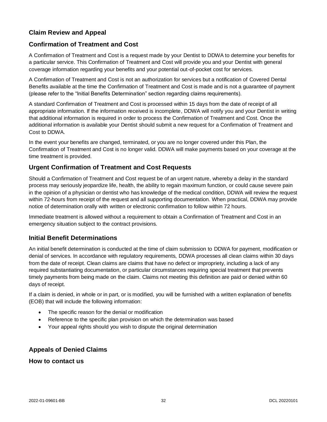## <span id="page-35-0"></span>**Claim Review and Appeal**

## <span id="page-35-1"></span>**Confirmation of Treatment and Cost**

A Confirmation of Treatment and Cost is a request made by your Dentist to DDWA to determine your benefits for a particular service. This Confirmation of Treatment and Cost will provide you and your Dentist with general coverage information regarding your benefits and your potential out-of-pocket cost for services.

A Confirmation of Treatment and Cost is not an authorization for services but a notification of Covered Dental Benefits available at the time the Confirmation of Treatment and Cost is made and is not a guarantee of payment (please refer to the "Initial Benefits Determination" section regarding claims requirements).

A standard Confirmation of Treatment and Cost is processed within 15 days from the date of receipt of all appropriate information. If the information received is incomplete, DDWA will notify you and your Dentist in writing that additional information is required in order to process the Confirmation of Treatment and Cost. Once the additional information is available your Dentist should submit a new request for a Confirmation of Treatment and Cost to DDWA.

In the event your benefits are changed, terminated, or you are no longer covered under this Plan, the Confirmation of Treatment and Cost is no longer valid. DDWA will make payments based on your coverage at the time treatment is provided.

#### <span id="page-35-2"></span>**Urgent Confirmation of Treatment and Cost Requests**

Should a Confirmation of Treatment and Cost request be of an urgent nature, whereby a delay in the standard process may seriously jeopardize life, health, the ability to regain maximum function, or could cause severe pain in the opinion of a physician or dentist who has knowledge of the medical condition, DDWA will review the request within 72-hours from receipt of the request and all supporting documentation. When practical, DDWA may provide notice of determination orally with written or electronic confirmation to follow within 72 hours.

Immediate treatment is allowed without a requirement to obtain a Confirmation of Treatment and Cost in an emergency situation subject to the contract provisions.

#### **Initial Benefit Determinations**

An initial benefit determination is conducted at the time of claim submission to DDWA for payment, modification or denial of services. In accordance with regulatory requirements, DDWA processes all clean claims within 30 days from the date of receipt. Clean claims are claims that have no defect or impropriety, including a lack of any required substantiating documentation, or particular circumstances requiring special treatment that prevents timely payments from being made on the claim. Claims not meeting this definition are paid or denied within 60 days of receipt.

If a claim is denied, in whole or in part, or is modified, you will be furnished with a written explanation of benefits (EOB) that will include the following information:

- The specific reason for the denial or modification
- Reference to the specific plan provision on which the determination was based
- Your appeal rights should you wish to dispute the original determination

#### <span id="page-35-3"></span>**Appeals of Denied Claims**

<span id="page-35-4"></span>**How to contact us**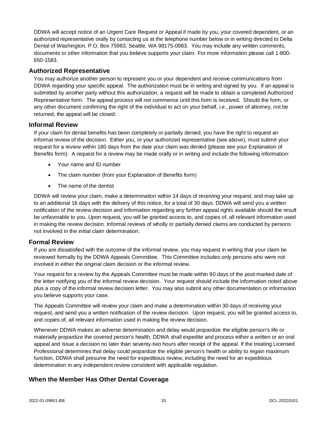DDWA will accept notice of an Urgent Care Request or Appeal if made by you, your covered dependent, or an authorized representative orally by contacting us at the telephone number below or in writing directed to Delta Dental of Washington, P.O. Box 75983, Seattle, WA 98175-0983. You may include any written comments, documents or other information that you believe supports your claim. For more information please call 1-800- 650-1583.

#### <span id="page-36-0"></span>**Authorized Representative**

You may authorize another person to represent you or your dependent and receive communications from DDWA regarding your specific appeal. The authorization must be in writing and signed by you. If an appeal is submitted by another party without this authorization, a request will be made to obtain a completed Authorized Representative form. The appeal process will not commence until this form is received. Should the form, or any other document confirming the right of the individual to act on your behalf, i.e., power of attorney, not be returned, the appeal will be closed.

#### <span id="page-36-1"></span>**Informal Review**

If your claim for dental benefits has been completely or partially denied, you have the right to request an informal review of the decision. Either you, or your authorized representative (see above), must submit your request for a review within 180 days from the date your claim was denied (please see your Explanation of Benefits form). A request for a review may be made orally or in writing and include the following information:

- Your name and ID number
- The claim number (from your Explanation of Benefits form)
- The name of the dentist

DDWA will review your claim, make a determination within 14 days of receiving your request, and may take up to an additional 16 days with the delivery of this notice, for a total of 30 days. DDWA will send you a written notification of the review decision and information regarding any further appeal rights available should the result be unfavorable to you. Upon request, you will be granted access to, and copies of, all relevant information used in making the review decision. Informal reviews of wholly or partially denied claims are conducted by persons not involved in the initial claim determination.

#### <span id="page-36-2"></span>**Formal Review**

If you are dissatisfied with the outcome of the informal review, you may request in writing that your claim be reviewed formally by the DDWA Appeals Committee. This Committee includes only persons who were not involved in either the original claim decision or the informal review.

Your request for a review by the Appeals Committee must be made within 90 days of the post-marked date of the letter notifying you of the informal review decision. Your request should include the information noted above plus a copy of the informal review decision letter. You may also submit any other documentation or information you believe supports your case.

The Appeals Committee will review your claim and make a determination within 30 days of receiving your request, and send you a written notification of the review decision. Upon request, you will be granted access to, and copies of, all relevant information used in making the review decision.

Whenever DDWA makes an adverse determination and delay would jeopardize the eligible person's life or materially jeopardize the covered person's health, DDWA shall expedite and process either a written or an oral appeal and issue a decision no later than seventy-two hours after receipt of the appeal. If the treating Licensed Professional determines that delay could jeopardize the eligible person's health or ability to regain maximum function, DDWA shall presume the need for expeditious review, including the need for an expeditious determination in any independent review consistent with applicable regulation.

## <span id="page-36-3"></span>**When the Member Has Other Dental Coverage**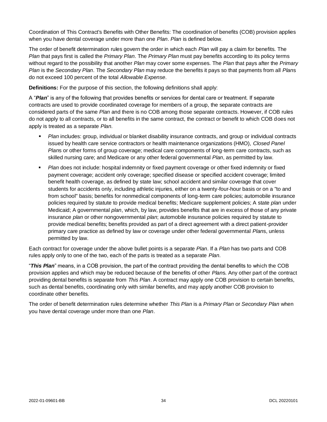Coordination of This Contract's Benefits with Other Benefits: The coordination of benefits (COB) provision applies when you have dental coverage under more than one *Plan*. *Plan* is defined below.

The order of benefit determination rules govern the order in which each *Plan* will pay a claim for benefits. The *Plan* that pays first is called the *Primary Plan*. The *Primary Plan* must pay benefits according to its policy terms without regard to the possibility that another *Plan* may cover some expenses. The *Plan* that pays after the *Primary Plan* is the *Secondary Plan*. The *Secondary Plan* may reduce the benefits it pays so that payments from all *Plan*s do not exceed 100 percent of the total *Allowable Expense*.

**Definitions:** For the purpose of this section, the following definitions shall apply:

A "*Plan*" is any of the following that provides benefits or services for dental care or treatment. If separate contracts are used to provide coordinated coverage for members of a group, the separate contracts are considered parts of the same *Plan* and there is no COB among those separate contracts. However, if COB rules do not apply to all contracts, or to all benefits in the same contract, the contract or benefit to which COB does not apply is treated as a separate *Plan*.

- *Plan* includes: group, individual or blanket disability insurance contracts, and group or individual contracts issued by health care service contractors or health maintenance organizations (HMO), *Closed Panel Plan*s or other forms of group coverage; medical care components of long-term care contracts, such as skilled nursing care; and Medicare or any other federal governmental *Plan*, as permitted by law.
- *Plan* does not include: hospital indemnity or fixed payment coverage or other fixed indemnity or fixed payment coverage; accident only coverage; specified disease or specified accident coverage; limited benefit health coverage, as defined by state law; school accident and similar coverage that cover students for accidents only, including athletic injuries, either on a twenty-four-hour basis or on a "to and from school" basis; benefits for nonmedical components of long-term care policies; automobile insurance policies required by statute to provide medical benefits; Medicare supplement policies; A state *plan* under Medicaid; A governmental *plan*, which, by law, provides benefits that are in excess of those of any private insurance *plan* or other nongovernmental *plan*; automobile insurance policies required by statute to provide medical benefits; benefits provided as part of a direct agreement with a direct patient-provider primary care practice as defined by law or coverage under other federal governmental *Plan*s, unless permitted by law.

Each contract for coverage under the above bullet points is a separate *Plan*. If a *Plan* has two parts and COB rules apply only to one of the two, each of the parts is treated as a separate *Plan*.

"*This Plan*" means, in a COB provision, the part of the contract providing the dental benefits to which the COB provision applies and which may be reduced because of the benefits of other *Plan*s. Any other part of the contract providing dental benefits is separate from *This Plan*. A contract may apply one COB provision to certain benefits, such as dental benefits, coordinating only with similar benefits, and may apply another COB provision to coordinate other benefits.

The order of benefit determination rules determine whether *This Plan* is a *Primary Plan* or *Secondary Plan* when you have dental coverage under more than one *Plan*.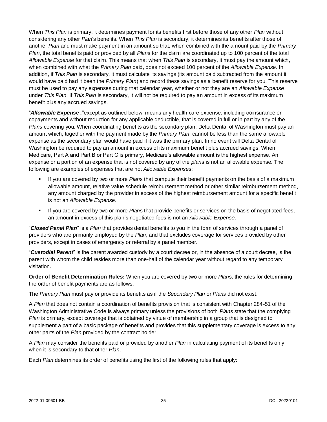When *This Plan* is primary, it determines payment for its benefits first before those of any other *Plan* without considering any other *Plan*'s benefits. When *This Plan* is secondary, it determines its benefits after those of another *Plan* and must make payment in an amount so that, when combined with the amount paid by the *Primary Plan*, the total benefits paid or provided by all *Plan*s for the claim are coordinated up to 100 percent of the total *Allowable Expense* for that claim. This means that when *This Plan* is secondary, it must pay the amount which, when combined with what the *Primary Plan* paid, does not exceed 100 percent of the *Allowable Expense*. In addition, if *This Plan* is secondary, it must calculate its savings (its amount paid subtracted from the amount it would have paid had it been the *Primary Plan*) and record these savings as a benefit reserve for you. This reserve must be used to pay any expenses during that calendar year, whether or not they are an *Allowable Expense* under *This Plan*. If *This Plan* is secondary, it will not be required to pay an amount in excess of its maximum benefit plus any accrued savings.

"*Allowable Expense ,*"except as outlined below, means any health care expense, including coinsurance or copayments and without reduction for any applicable deductible, that is covered in full or in part by any of the *Plans* covering you. When coordinating benefits as the secondary plan, Delta Dental of Washington must pay an amount which, together with the payment made by the *Primary Plan*, cannot be less than the same allowable expense as the secondary plan would have paid if it was the primary plan. In no event will Delta Dental of Washington be required to pay an amount in excess of its maximum benefit plus accrued savings. When Medicare, Part A and Part B or Part C is primary, Medicare's allowable amount is the highest expense. An expense or a portion of an expense that is not covered by any of the *plan*s is not an allowable expense. The following are examples of expenses that are not *Allowable Expense*s:

- If you are covered by two or more *Plans* that compute their benefit payments on the basis of a maximum allowable amount, relative value schedule reimbursement method or other similar reimbursement method, any amount charged by the provider in excess of the highest reimbursement amount for a specific benefit is not an *Allowable Expense*.
- If you are covered by two or more *Plan*s that provide benefits or services on the basis of negotiated fees, an amount in excess of this plan's negotiated fees is not an *Allowable Expense*.

"*Closed Panel Plan*" is a *Plan* that provides dental benefits to you in the form of services through a panel of providers who are primarily employed by the *Plan*, and that excludes coverage for services provided by other providers, except in cases of emergency or referral by a panel member.

"*Custodial Parent*" is the parent awarded custody by a court decree or, in the absence of a court decree, is the parent with whom the child resides more than one-half of the calendar year without regard to any temporary visitation.

**Order of Benefit Determination Rules:** When you are covered by two or more *Plan*s, the rules for determining the order of benefit payments are as follows:

The *Primary Plan* must pay or provide its benefits as if the *Secondary Plan* or *Plans* did not exist.

A *Plan* that does not contain a coordination of benefits provision that is consistent with Chapter 284-51 of the Washington Administrative Code is always primary unless the provisions of both *Plan*s state that the complying *Plan* is primary, except coverage that is obtained by virtue of membership in a group that is designed to supplement a part of a basic package of benefits and provides that this supplementary coverage is excess to any other parts of the *Plan* provided by the contract holder.

A *Plan* may consider the benefits paid or provided by another *Plan* in calculating payment of its benefits only when it is secondary to that other *Plan*.

Each *Plan* determines its order of benefits using the first of the following rules that apply: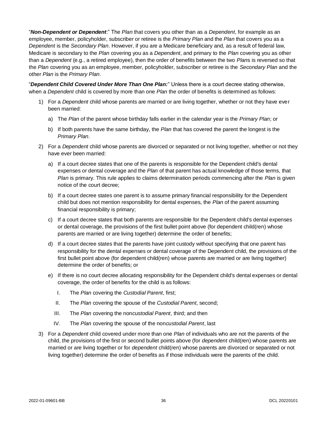"*Non-Dependent or Dependent*:" The *Plan* that covers you other than as a *Dependent*, for example as an employee, member, policyholder, subscriber or retiree is the *Primary Plan* and the *Plan* that covers you as a *Dependent* is the *Secondary Plan*. However, if you are a Medicare beneficiary and, as a result of federal law, Medicare is secondary to the *Plan* covering you as a *Dependent*, and primary to the *Plan* covering you as other than a *Dependent* (e.g., a retired employee), then the order of benefits between the two *Plan*s is reversed so that the *Plan* covering you as an employee, member, policyholder, subscriber or retiree is the *Secondary Plan* and the other *Plan* is the *Primary Plan*.

"*Dependent Child Covered Under More Than One Plan:*" Unless there is a court decree stating otherwise, when a *Dependent* child is covered by more than one *Plan* the order of benefits is determined as follows:

- 1) For a *Dependent* child whose parents are married or are living together, whether or not they have ever been married:
	- a) The *Plan* of the parent whose birthday falls earlier in the calendar year is the *Primary Plan*; or
	- b) If both parents have the same birthday, the *Plan* that has covered the parent the longest is the *Primary Plan*.
- 2) For a *Dependent* child whose parents are divorced or separated or not living together, whether or not they have ever been married:
	- a) If a court decree states that one of the parents is responsible for the Dependent child's dental expenses or dental coverage and the *Plan* of that parent has actual knowledge of those terms, that *Plan* is primary. This rule applies to claims determination periods commencing after the *Plan* is given notice of the court decree;
	- b) If a court decree states one parent is to assume primary financial responsibility for the Dependent child but does not mention responsibility for dental expenses, the *Plan* of the parent assuming financial responsibility is primary;
	- c) If a court decree states that both parents are responsible for the Dependent child's dental expenses or dental coverage, the provisions of the first bullet point above (for dependent child(ren) whose parents are married or are living together) determine the order of benefits;
	- d) If a court decree states that the parents have joint custody without specifying that one parent has responsibility for the dental expenses or dental coverage of the Dependent child, the provisions of the first bullet point above (for dependent child(ren) whose parents are married or are living together) determine the order of benefits; or
	- e) If there is no court decree allocating responsibility for the Dependent child's dental expenses or dental coverage, the order of benefits for the child is as follows:
		- I. The *Plan* covering the *Custodial Parent*, first;
		- II. The *Plan* covering the spouse of the *Custodial Parent*, second;
		- III. The *Plan* covering the non*custodial Parent*, third; and then
		- IV. The *Plan* covering the spouse of the non*custodial Parent*, last
- 3) For a *Dependent* child covered under more than one *Plan* of individuals who are not the parents of the child, the provisions of the first or second bullet points above (for *dependent* child(ren) whose parents are married or are living together or for *dependent* child(ren) whose parents are divorced or separated or not living together) determine the order of benefits as if those individuals were the parents of the child.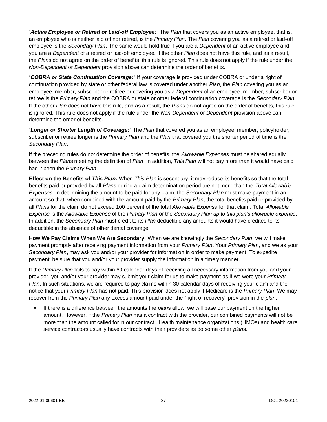"*Active Employee or Retired or Laid-off Employee:*" The *Plan* that covers you as an active employee, that is, an employee who is neither laid off nor retired, is the *Primary Plan*. The *Plan* covering you as a retired or laid-off employee is the *Secondary Plan*. The same would hold true if you are a *Dependent* of an active employee and you are a *Dependent* of a retired or laid-off employee. If the other *Plan* does not have this rule, and as a result, the *Plan*s do not agree on the order of benefits, this rule is ignored. This rule does not apply if the rule under the *Non-Dependent* or *Dependent* provision above can determine the order of benefits.

"*COBRA or State Continuation Coverage:*" If your coverage is provided under COBRA or under a right of continuation provided by state or other federal law is covered under another *Plan*, the *Plan* covering you as an employee, member, subscriber or retiree or covering you as a *Dependent* of an employee, member, subscriber or retiree is the *Primary Plan* and the COBRA or state or other federal continuation coverage is the *Secondary Plan*. If the other *Plan* does not have this rule, and as a result, the *Plan*s do not agree on the order of benefits, this rule is ignored. This rule does not apply if the rule under the *Non-Dependent* or *Dependent* provision above can determine the order of benefits.

"*Longer or Shorter Length of Coverage:*" The *Plan* that covered you as an employee, member, policyholder, subscriber or retiree longer is the *Primary Plan* and the *Plan* that covered you the shorter period of time is the *Secondary Plan*.

If the preceding rules do not determine the order of benefits, the *Allowable Expense*s must be shared equally between the *Plan*s meeting the definition of *Plan*. In addition, *This Plan* will not pay more than it would have paid had it been the *Primary Plan*.

**Effect on the Benefits of** *This Plan***:** When *This Plan* is secondary, it may reduce its benefits so that the total benefits paid or provided by all *Plan*s during a claim determination period are not more than the *Total Allowable Expenses*. In determining the amount to be paid for any claim, the *Secondary Plan* must make payment in an amount so that, when combined with the amount paid by the *Primary Plan*, the total benefits paid or provided by all *Plan*s for the claim do not exceed 100 percent of the total *Allowable Expense* for that claim. Total *Allowable Expense* is the *Allowable Expense* of the *Primary Plan* or the *Secondary Plan up to this plan's allowable expense*. In addition, the *Secondary Plan* must credit to its *Plan* deductible any amounts it would have credited to its deductible in the absence of other dental coverage.

**How We Pay Claims When We Are Secondary:** When we are knowingly the *Secondary Plan*, we will make payment promptly after receiving payment information from your *Primary Plan*. Your *Primary Plan*, and we as your *Secondary Plan*, may ask you and/or your provider for information in order to make payment. To expedite payment, be sure that you and/or your provider supply the information in a timely manner.

If the *Primary Plan* fails to pay within 60 calendar days of receiving all necessary information from you and your provider, you and/or your provider may submit your claim for us to make payment as if we were your *Primary Plan*. In such situations, we are required to pay claims within 30 calendar days of receiving your claim and the notice that your *Primary Plan* has not paid. This provision does not apply if Medicare is the *Primary Plan*. We may recover from the *Primary Plan* any excess amount paid under the "right of recovery" provision in the *plan*.

If there is a difference between the amounts the *plans* allow, we will base our payment on the higher amount. However, if the *Primary Plan* has a contract with the provider, our combined payments will not be more than the amount called for in our contract . Health maintenance organizations (HMOs) and health care service contractors usually have contracts with their providers as do some other *plan*s.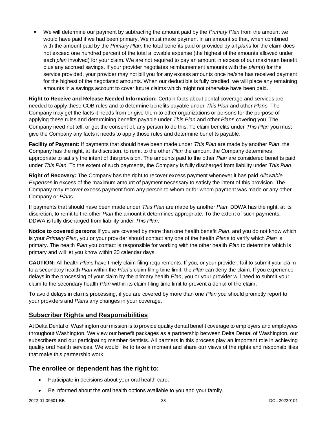We will determine our payment by subtracting the amount paid by the *Primary Plan* from the amount we would have paid if we had been primary. We must make payment in an amount so that, when combined with the amount paid by the *Primary Plan*, the total benefits paid or provided by all *plan*s for the claim does not exceed one hundred percent of the total allowable expense (the highest of the amounts allowed under each *plan* involved) for your claim. We are not required to pay an amount in excess of our maximum benefit plus any accrued savings. If your provider negotiates reimbursement amounts with the *plan*(s) for the service provided, your provider may not bill you for any excess amounts once he/she has received payment for the highest of the negotiated amounts. When our deductible is fully credited, we will place any remaining amounts in a savings account to cover future claims which might not otherwise have been paid.

**Right to Receive and Release Needed Information:** Certain facts about dental coverage and services are needed to apply these COB rules and to determine benefits payable under *This Plan* and other *Plan*s. The Company may get the facts it needs from or give them to other organizations or persons for the purpose of applying these rules and determining benefits payable under *This Plan* and other *Plan*s covering you. The Company need not tell, or get the consent of, any person to do this. To claim benefits under *This Plan* you must give the Company any facts it needs to apply those rules and determine benefits payable.

**Facility of Payment:** If payments that should have been made under *This Plan* are made by another *Plan*, the Company has the right, at its discretion, to remit to the other *Plan* the amount the Company determines appropriate to satisfy the intent of this provision. The amounts paid to the other *Plan* are considered benefits paid under *This Plan*. To the extent of such payments, the Company is fully discharged from liability under *This Plan*.

**Right of Recovery:** The Company has the right to recover excess payment whenever it has paid *Allowable Expense*s in excess of the maximum amount of payment necessary to satisfy the intent of this provision. The Company may recover excess payment from any person to whom or for whom payment was made or any other Company or *Plan*s.

If payments that should have been made under *This Plan* are made by another *Plan*, DDWA has the right, at its discretion, to remit to the other *Plan* the amount it determines appropriate. To the extent of such payments, DDWA is fully discharged from liability under *This Plan*.

**Notice to covered persons** If you are covered by more than one health benefit *Plan*, and you do not know which is your *Primary Plan*, you or your provider should contact any one of the health *Plan*s to verify which *Plan* is primary. The health *Plan* you contact is responsible for working with the other health *Plan* to determine which is primary and will let you know within 30 calendar days.

**CAUTION:** All health *Plan*s have timely claim filing requirements. If you, or your provider, fail to submit your claim to a secondary health *Plan* within the *Plan*'s claim filing time limit, the *Plan* can deny the claim. If you experience delays in the processing of your claim by the primary health *Plan*, you or your provider will need to submit your claim to the secondary health *Plan* within its claim filing time limit to prevent a denial of the claim.

To avoid delays in claims processing, if you are covered by more than one *Plan* you should promptly report to your providers and *Plan*s any changes in your coverage.

## <span id="page-41-0"></span>**Subscriber Rights and Responsibilities**

At Delta Dental of Washington our mission is to provide quality dental benefit coverage to employers and employees throughout Washington. We view our benefit packages as a partnership between Delta Dental of Washington, our subscribers and our participating member dentists. All partners in this process play an important role in achieving quality oral health services. We would like to take a moment and share our views of the rights and responsibilities that make this partnership work.

## **The enrollee or dependent has the right to:**

- Participate in decisions about your oral health care.
- Be informed about the oral health options available to you and your family.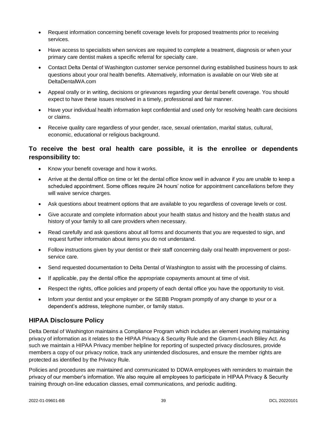- Request information concerning benefit coverage levels for proposed treatments prior to receiving services.
- Have access to specialists when services are required to complete a treatment, diagnosis or when your primary care dentist makes a specific referral for specialty care.
- Contact Delta Dental of Washington customer service personnel during established business hours to ask questions about your oral health benefits. Alternatively, information is available on our Web site at DeltaDentalWA.com
- Appeal orally or in writing, decisions or grievances regarding your dental benefit coverage. You should expect to have these issues resolved in a timely, professional and fair manner.
- Have your individual health information kept confidential and used only for resolving health care decisions or claims.
- Receive quality care regardless of your gender, race, sexual orientation, marital status, cultural, economic, educational or religious background.

## **To receive the best oral health care possible, it is the enrollee or dependents responsibility to:**

- Know your benefit coverage and how it works.
- Arrive at the dental office on time or let the dental office know well in advance if you are unable to keep a scheduled appointment. Some offices require 24 hours' notice for appointment cancellations before they will waive service charges.
- Ask questions about treatment options that are available to you regardless of coverage levels or cost.
- Give accurate and complete information about your health status and history and the health status and history of your family to all care providers when necessary.
- Read carefully and ask questions about all forms and documents that you are requested to sign, and request further information about items you do not understand.
- Follow instructions given by your dentist or their staff concerning daily oral health improvement or postservice care.
- Send requested documentation to Delta Dental of Washington to assist with the processing of claims.
- If applicable, pay the dental office the appropriate copayments amount at time of visit.
- Respect the rights, office policies and property of each dental office you have the opportunity to visit.
- Inform your dentist and your employer or the SEBB Program promptly of any change to your or a dependent's address, telephone number, or family status.

#### <span id="page-42-0"></span>**HIPAA Disclosure Policy**

Delta Dental of Washington maintains a Compliance Program which includes an element involving maintaining privacy of information as it relates to the HIPAA Privacy & Security Rule and the Gramm-Leach Bliley Act. As such we maintain a HIPAA Privacy member helpline for reporting of suspected privacy disclosures, provide members a copy of our privacy notice, track any unintended disclosures, and ensure the member rights are protected as identified by the Privacy Rule.

Policies and procedures are maintained and communicated to DDWA employees with reminders to maintain the privacy of our member's information. We also require all employees to participate in HIPAA Privacy & Security training through on-line education classes, email communications, and periodic auditing.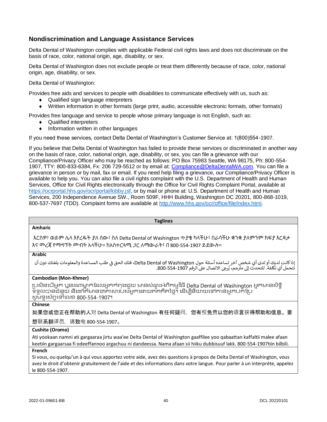## <span id="page-43-0"></span>**Nondiscrimination and Language Assistance Services**

Delta Dental of Washington complies with applicable Federal civil rights laws and does not discriminate on the basis of race, color, national origin, age, disability, or sex.

Delta Dental of Washington does not exclude people or treat them differently because of race, color, national origin, age, disability, or sex.

Delta Dental of Washington:

Provides free aids and services to people with disabilities to communicate effectively with us, such as:

- ◆ Qualified sign language interpreters
- Written information in other formats (large print, audio, accessible electronic formats, other formats)

Provides free language and service to people whose primary language is not English, such as:

- ◆ Qualified interpreters
- Information written in other languages

If you need these services, contact Delta Dental of Washington's Customer Service at: 1(800)554-1907.

If you believe that Delta Dental of Washington has failed to provide these services or discriminated in another way on the basis of race, color, national origin, age, disability, or sex, you can file a grievance with our Compliance/Privacy Officer who may be reached as follows: PO Box 75983 Seattle, WA 98175, Ph: 800-554- 1907, TTY: 800-833-6384, Fx: 206 729-5512 or by email at: [Compliance@DeltaDentalWA.com.](mailto:Compliance@DeltaDentalWA.com) You can file a grievance in person or by mail, fax or email. If you need help filing a grievance, our Compliance/Privacy Officer is available to help you. You can also file a civil rights complaint with the U.S. Department of Health and Human Services, Office for Civil Rights electronically through the Office for Civil Rights Complaint Portal, available at [https://ocrportal.hhs.gov/ocr/portal/lobby.jsf,](https://ocrportal.hhs.gov/ocr/portal/lobby.jsf) or by mail or phone at: U.S. Department of Health and Human Services, 200 Independence Avenue SW., Room 509F, HHH Building, Washington DC 20201, 800-868-1019, 800-537-7697 (TDD). Complaint forms are available at [http://www.hhs.gov/ocr/office/file/index.html.](http://www.hhs.gov/ocr/office/file/index.html)

#### **Taglines**

#### **Amharic**

እርስዎ፣ ወይም ሌላ እየረዱት ያለ ሰው፣ ስለ Delta Dental of Washington ጥያቄ ካላችሁ፣ በራሳችሁ ቋንቋ ያለምንም ክፍያ እርዳታ እና መረጃ የማግኘት መብት አላችሁ። ከአስተርጓሚ ጋር ለማውራት፣ በ 800-554-1907 ይደውሉ።

#### **Arabic**

إذا كانت لديك أو لدى أي شخص آخر تساعده أسئلة حول Delta Dental of Washington، فلك الحق في طلب المساعدة والمعلومات بلغتك دون أن ي l ء التالي عن التصال عن التصال عن التصال عنه التصال التصال ...<br>تتحمل أي تكلفة. للتحدث إلى مترجم، يُرجى الاتصال على الرقم 1907-554-800. ।<br>१

#### **Cambodian (Mon-Khmer)**

ប្រសិនបើអ្នក ប្អូនរណាម្នាក់ដែលអ្នកកំពុងជួយ មានសំណួរអំពីកម្មវិធី Delta Dental of Washington អ្នកមានសិទ្ធិ ទទួលបានជំនួយ និងព័ត៌មានជាភាសារបស់អ្នកដោយឥតគិតថ្លៃ។ ដើម្បីនិយាយទៅកាន់អ្នកបក់ប្រែ សូ ម្ទ្ូរស័ពទបៅបលខ 800-554-1907។

#### **Chinese**

如果您或您正在帮助的人对 Delta Dental of Washington 有任何疑问,您有权免费以您的语言获得帮助和信息。要

想联系翻译员,请致电 800-554-1907。

#### **Cushite (Oromo)**

Ati yookaan namni ati gargaaraa jirtu waa'ee Delta Dental of Washington gaaffilee yoo qabaattan kaffaltii malee afaan keetiin gargaarsaa fi odeeffannoo argachuu ni dandeessa. Nama afaan sii hiiku dubbisuuf lakk. 800-554-1907tiin bilbili.

#### **French**

Si vous, ou quelqu'un à qui vous apportez votre aide, avez des questions à propos de Delta Dental of Washington, vous avez le droit d'obtenir gratuitement de l'aide et des informations dans votre langue. Pour parler à un interprète, appelez le 800-554-1907.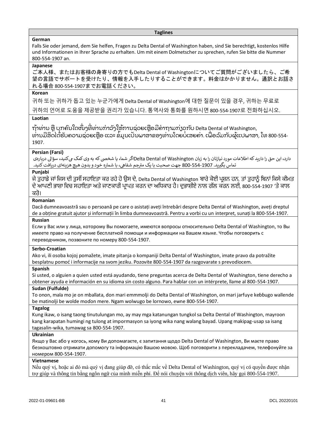#### **Taglines**

#### **German**

Falls Sie oder jemand, dem Sie helfen, Fragen zu Delta Dental of Washington haben, sind Sie berechtigt, kostenlos Hilfe und Informationen in Ihrer Sprache zu erhalten. Um mit einem Dolmetscher zu sprechen, rufen Sie bitte die Nummer 800-554-1907 an.

#### **Japanese**

ご本人様、またはお客様の身寄りの方でもDelta Dental of Washingtonについてご質問がございましたら、ご希 望の言語でサポートを受けたり、情報を入手したりすることができます。料金はかかりません。通訳とお話さ れる場合 800-554-1907までお電話ください。

#### **Korean**

귀하 또는 귀하가 돕고 있는 누군가에게 Delta Dental of Washington에 대한 질문이 있을 경우, 귀하는 무료로

귀하의 언어로 도움을 제공받을 권리가 있습니다. 통역사와 통화를 원하시면 800-554-1907로 전화하십시오.

#### **Laotian**

ຖ້າທ່ານ ຫຼື ບຸກຄົນໃດໜຶ່ງທີ່ທ່ານກຳລັງໃຫ້ການຊ່ວຍເຫຼືອມີຄາຖາມກ່ຽວກັບ Delta Dental of Washington, ທ່ານມີສິດໄດ້ຮັບຄວາມຊ່ວຍເຫຼືອ ແລະ ຂໍ້ມູນເປັນພາສາຂອງທ່ານໂດຍບໍ່ເສຍຄ່າ. ເພື່ອລົມກັບຜູ້ແປພາສາ, ໂທ 800-554-1907.

#### **Persian (Farsi)**

دارد، این حق را دارید که اطالعات مورد نیازتان را به زبان Washington of Dental Deltaاگر شما، یا شخیص که به وی کمک م کنید، سؤاىل درباره ی رود میکود و با شماره خود استفاده استفاده که سال می دردن میچ هزینه ای دریافت کنید.<br>تماس بگیرید. 800-554-1907 جهت صحبت با یک مترجم شفاهی، با شماره خود و بدون هیچ هزینهای دریافت کنید.

#### **Punjabi**

ਜੇ ਤੁਹਾਡੇ ਜਾਂ ਜਿਸ ਦੀ ਤੁਸੀਂ ਸਹਾਇਤਾ ਕਰ ਰਹੇ ਹੋ ਉਸ ਦੇ, Delta Dental of Washington ਬਾਰੇ ਕੋਈ ਪ੍ਰਸ਼ਨ ਹਨ, ਤਾਂ ਤੁਹਾਨੂੰ ਬਿਨਾਂ ਕਿਸੇ ਕੀਮਤ ਦੇ ਆਪ੍ਣੀ ਭਾਸ਼ਾ ਜਿਚ ਸਹਾਇਤਾ ਅਤੇ ਜਾਣਕਾਰੀ ਪ੍ਰਾਪ੍ਤ ਕਰਨ ਦਾ ਅਜਿਕਾਰ ਹੈ। ਦੁਭਾਸ਼ੀਏ ਨਾਲ ਗੱਲ ਕਰਨ ਲਈ, 800-554-1907 'ਤੇ ਕਾਲ ਕਰੋ।

#### **Romanian**

Dacă dumneavoastră sau o persoană pe care o asistați aveți întrebări despre Delta Dental of Washington, aveți dreptul de a obține gratuit ajutor și informații în limba dumneavoastră. Pentru a vorbi cu un interpret, sunați la 800-554-1907. **Russian**

Если у Вас или у лица, которому Вы помогаете, имеются вопросы относительно Delta Dental of Washington, то Вы имеете право на получение бесплатной помощи и информации на Вашем языке. Чтобы поговорить с переводчиком, позвоните по номеру 800-554-1907.

#### **Serbo-Croatian**

Ako vi, ili osoba kojoj pomažete, imate pitanja o kompaniji Delta Dental of Washington, imate pravo da potražite besplatnu pomoć i informacije na svom jeziku. Pozovite 800-554-1907 da razgovarate s prevodiocem.

#### **Spanish**

Si usted, o alguien a quien usted está ayudando, tiene preguntas acerca de Delta Dental of Washington, tiene derecho a obtener ayuda e información en su idioma sin costo alguno. Para hablar con un intérprete, llame al 800-554-1907.

#### **Sudan (Fulfulde)**

To onon, mala mo je on mballata, don mari emmmolji do Delta Dental of Washington, on mari jarfuye keɓɓugo wallende be matinolji be wolde moɗon mere. Ngam wolwugo be lornowo, ewne 800-554-1907.

#### **Tagalog**

Kung ikaw, o isang taong tinutulungan mo, ay may mga katanungan tungkol sa Delta Dental of Washington, mayroon kang karapatan humingi ng tulong at impormasyon sa iyong wika nang walang bayad. Upang makipag-usap sa isang tagasalin-wika, tumawag sa 800-554-1907.

#### **Ukrainian**

Якщо у Вас або у когось, кому Ви допомагаєте, є запитання щодо Delta Dental of Washington, Ви маєте право безкоштовно отримати допомогу та інформацію Вашою мовою. Щоб поговорити з перекладачем, телефонуйте за номером 800-554-1907.

#### **Vietnamese**

Nếu quý vị, hoặc ai đó mà quý vị đang giúp đỡ, có thắc mắc về Delta Dental of Washington, quý vị có quyền được nhận trợ giúp và thông tin bằng ngôn ngữ của mình miễn phí. Để nói chuyện với thông dịch viên, hãy gọi 800-554-1907.